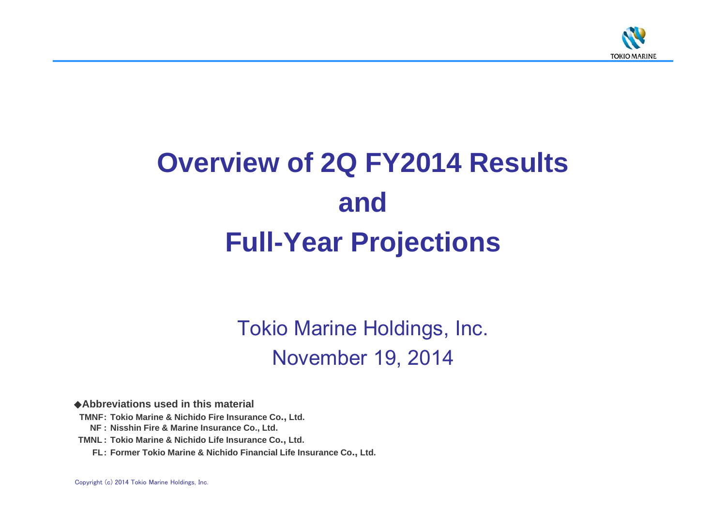

# **Overview of 2Q FY2014 Results andFull-Year Projections**

Tokio Marine Holdings, Inc. November 19, 2014

◆**Abbreviations used in this material**

**TMNF: Tokio Marine & Nichido Fire Insurance Co., Ltd.**

**NF : Nisshin Fire & Marine Insurance Co., Ltd.**

**TMNL : Tokio Marine & Nichido Life Insurance Co., Ltd.**

**FL: Former Tokio Marine & Nichido Financial Life Insurance Co., Ltd.**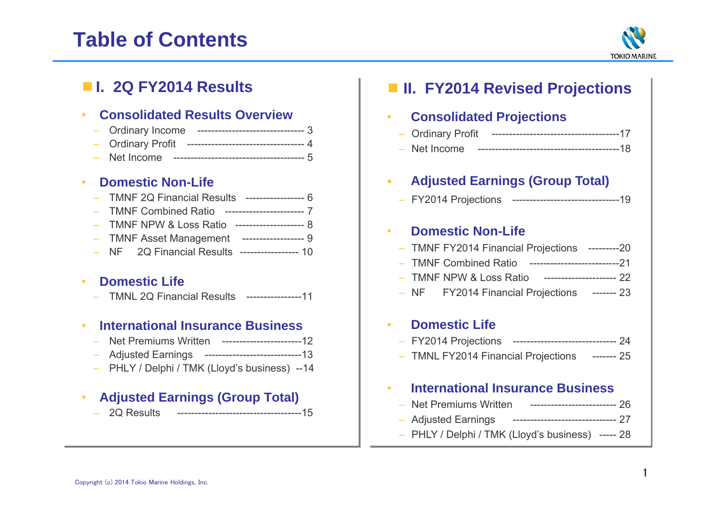# **Table of Contents**



# ■ **I. 2Q FY2014 Results**

#### •**Consolidated Results Overview**

| - Ordinary Income |                                                       |  |
|-------------------|-------------------------------------------------------|--|
|                   | - Ordinary Profit --------------------------------- 4 |  |
|                   |                                                       |  |

#### •**Domestic Non-Life**

| - TMNF 2Q Financial Results ----------------- 6 |  |
|-------------------------------------------------|--|
| - TMNF Combined Ratio ----------------------- 7 |  |
| - TMNF NPW & Loss Ratio --------------------- 8 |  |
| - TMNF Asset Management ------------------ 9    |  |
| - NF 2Q Financial Results ----------------- 10  |  |
|                                                 |  |

#### •**Domestic Life**

– TMNL 2Q Financial Results ----------------11

#### •**International Insurance Business**

- Net Premiums Written -----------------------12
- Adjusted Earnings ----------------------------13
- PHLY / Delphi / TMK (Lloyd's business) --14

#### •**Adjusted Earnings (Group Total)**

– 2Q Results ------------------------------------15

| <b>II. FY2014 Revised Projections</b>                                      |  |
|----------------------------------------------------------------------------|--|
| <b>Consolidated Projections</b>                                            |  |
|                                                                            |  |
| - Net Income                                                               |  |
| <b>Adjusted Earnings (Group Total)</b><br>$\bullet$ . The set of $\bullet$ |  |
| - FY2014 Projections ----------------------------------19                  |  |
| <b>Domestic Non-Life</b>                                                   |  |
| - TMNF FY2014 Financial Projections ---------20                            |  |
| - TMNF Combined Ratio ---------------------------21                        |  |
| TMNF NPW & Loss Ratio --------------------- 22                             |  |
| - NF FY2014 Financial Projections ------- 23                               |  |
| <b>Domestic Life</b>                                                       |  |
| - FY2014 Projections ------------------------------ 24                     |  |
| - TMNL FY2014 Financial Projections ------- 25                             |  |
| <b>International Insurance Business</b>                                    |  |
| - Net Premiums Written ------------------------- 26                        |  |
| Adjusted Earnings ----------------------------- 27                         |  |
| - PHLY / Delphi / TMK (Lloyd's business) ----- 28                          |  |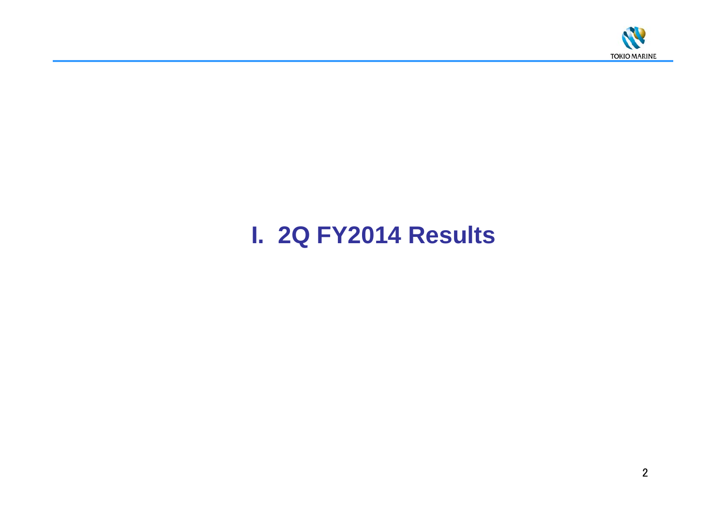

# **I. 2Q FY2014 Results**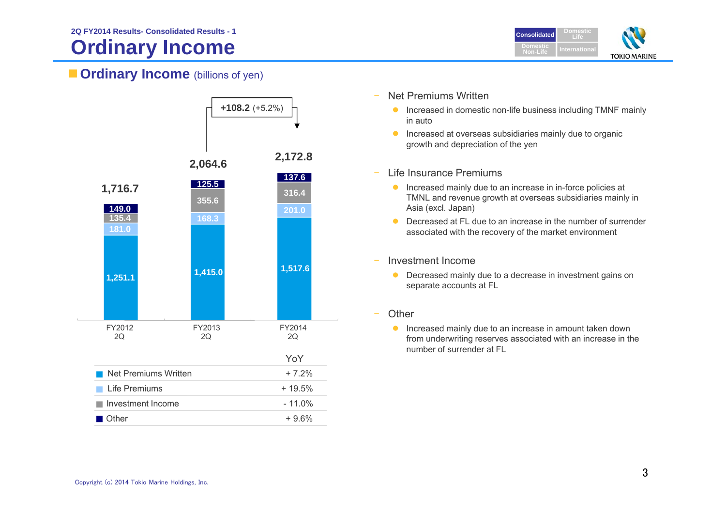# **Ordinary Income**



## **Cordinary Income** (billions of yen)



- Net Premiums Written
	- **Increased in domestic non-life business including TMNF mainly** in auto
	- **Increased at overseas subsidiaries mainly due to organic** growth and depreciation of the yen
- – Life Insurance Premiums
	- **Increased mainly due to an increase in in-force policies at** TMNL and revenue growth at overseas subsidiaries mainly in Asia (excl. Japan)
	- $\bullet$  Decreased at FL due to an increase in the number of surrender associated with the recovery of the market environment
- Investment Income
	- **•** Decreased mainly due to a decrease in investment gains on separate accounts at FL
- **Other** 
	- **Increased mainly due to an increase in amount taken down** from underwriting reserves associated with an increase in the number of surrender at FL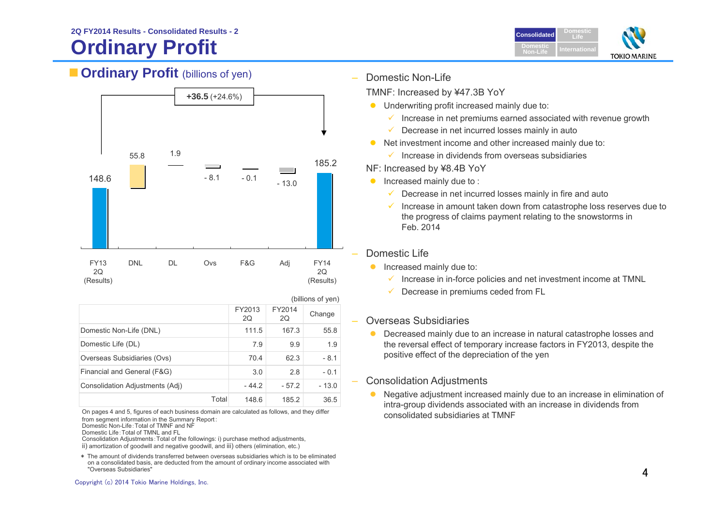# **Ordinary Profit**



## **Crdinary Profit** (billions of yen)



|                                 |       | (billions of yen) |              |         |
|---------------------------------|-------|-------------------|--------------|---------|
|                                 |       | FY2013<br>2Q      | FY2014<br>2Q | Change  |
| Domestic Non-Life (DNL)         |       | 111.5             | 167.3        | 55.8    |
| Domestic Life (DL)              |       | 7.9               | 9.9          | 1.9     |
| Overseas Subsidiaries (Ovs)     |       | 70.4              | 62.3         | $-8.1$  |
| Financial and General (F&G)     |       | 3.0               | 2.8          | $-0.1$  |
| Consolidation Adjustments (Adj) |       | $-44.2$           | $-57.2$      | $-13.0$ |
|                                 | Total | 148.6             | 185.2        | 36.5    |

On pages 4 and 5, figures of each business domain are calculated as follows, and they differ from segment information in the Summary Report:

Domestic Non-Life:Total of TMNF and NF Domestic Life:Total of TMNL and FL

 Consolidation Adjustments:Total of the followings: i) purchase method adjustments, ii) amortization of goodwill and negative goodwill, and iii) others (elimination, etc.)

\* The amount of dividends transferred between overseas subsidiaries which is to be eliminated on a consolidated basis, are deducted from the amount of ordinary income associated with "Overseas Subsidiaries"

Domestic Non-Life

TMNF: Increased by ¥47.3B YoY

- **•** Underwriting profit increased mainly due to:
	- $\checkmark$  Increase in net premiums earned associated with revenue growth
	- $\checkmark$  Decrease in net incurred losses mainly in auto
- $\bullet$  Net investment income and other increased mainly due to:
	- $\checkmark$  Increase in dividends from overseas subsidiaries

NF: Increased by ¥8.4B YoY

- $\bullet$  Increased mainly due to :
	- $\checkmark$  Decrease in net incurred losses mainly in fire and auto
	- $\checkmark$  Increase in amount taken down from catastrophe loss reserves due to the progress of claims payment relating to the snowstorms in Feb. 2014
- Domestic Life
	- **Increased mainly due to:** 
		- $\checkmark$  Increase in in-force policies and net investment income at TMNL
		- $\checkmark$ Decrease in premiums ceded from FL

## Overseas Subsidiaries

 $\bullet$  Decreased mainly due to an increase in natural catastrophe losses and the reversal effect of temporary increase factors in FY2013, despite the positive effect of the depreciation of the yen

## Consolidation Adjustments

 $\bullet$  Negative adjustment increased mainly due to an increase in elimination of intra-group dividends associated with an increase in dividends from consolidated subsidiaries at TMNF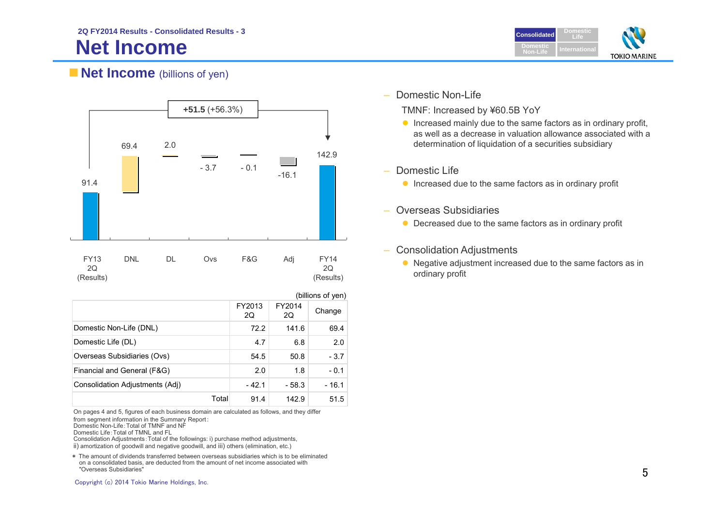# **Net Income**



## **Net Income** (billions of yen)



|                                 |       | (billions of yen) |              |        |
|---------------------------------|-------|-------------------|--------------|--------|
|                                 |       | FY2013<br>2Q      | FY2014<br>2Q | Change |
| Domestic Non-Life (DNL)         |       | 72.2              | 141.6        | 69.4   |
| Domestic Life (DL)              |       | 4.7               | 6.8          | 2.0    |
| Overseas Subsidiaries (Ovs)     |       | 54.5              | 50.8         | $-3.7$ |
| Financial and General (F&G)     |       | 2.0               | 1.8          | $-0.1$ |
| Consolidation Adjustments (Adj) |       | $-42.1$           | $-58.3$      | - 16.1 |
|                                 | Total | 91.4              | 142.9        | 51.5   |

On pages 4 and 5, figures of each business domain are calculated as follows, and they differ

from segment information in the Summary Report:

Domestic Non-Life:Total of TMNF and NF Domestic Life:Total of TMNL and FL

Consolidation Adjustments:Total of the followings: i) purchase method adjustments, ii) amortization of goodwill and negative goodwill, and iii) others (elimination, etc.)

\* The amount of dividends transferred between overseas subsidiaries which is to be eliminated on a consolidated basis, are deducted from the amount of net income associated with "Overseas Subsidiaries"

 $\overline{\phantom{a}}$ Domestic Non-Life

TMNF: Increased by ¥60.5B YoY

- $\bullet$  Increased mainly due to the same factors as in ordinary profit, as well as a decrease in valuation allowance associated with a determination of liquidation of a securities subsidiary
- –Domestic Life
	- **Increased due to the same factors as in ordinary profit**
- Overseas Subsidiaries
	- Decreased due to the same factors as in ordinary profit
- – Consolidation Adjustments
	- Negative adjustment increased due to the same factors as in ordinary profit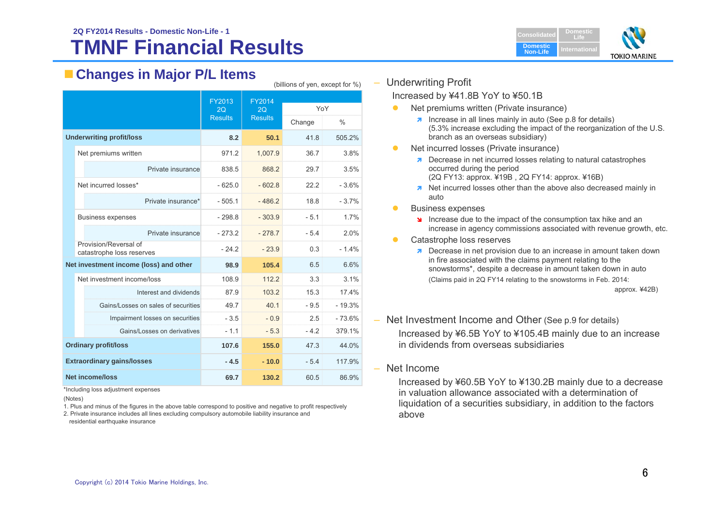### **TMNF Financial Results2Q FY2014 Results - Domestic Non-Life - 1Consolidated Consolidated**



# **Changes in Major P/L Items**

|  |  |                                                    | FY2013<br>2O   | <b>FY2014</b><br>2O |        | YoY           |
|--|--|----------------------------------------------------|----------------|---------------------|--------|---------------|
|  |  |                                                    | <b>Results</b> | <b>Results</b>      | Change | $\frac{0}{0}$ |
|  |  | <b>Underwriting profit/loss</b>                    | 8.2            | 50.1                | 41.8   | 505.2%        |
|  |  | Net premiums written                               | 971.2          | 1,007.9             | 36.7   | 3.8%          |
|  |  | Private insurance                                  | 838.5          | 868.2               | 29.7   | 3.5%          |
|  |  | Net incurred losses*                               | $-625.0$       | $-602.8$            | 22.2   | $-3.6%$       |
|  |  | Private insurance*                                 | $-505.1$       | $-486.2$            | 18.8   | $-3.7%$       |
|  |  | <b>Business expenses</b>                           | $-298.8$       | $-303.9$            | $-5.1$ | 1.7%          |
|  |  | Private insurance                                  | $-273.2$       | $-278.7$            | $-5.4$ | 2.0%          |
|  |  | Provision/Reversal of<br>catastrophe loss reserves | $-24.2$        | $-23.9$             | 0.3    | $-1.4%$       |
|  |  | Net investment income (loss) and other             | 98.9           | 105.4               | 6.5    | 6.6%          |
|  |  | Net investment income/loss                         | 108.9          | 112.2               | 3.3    | 3.1%          |
|  |  | Interest and dividends                             | 87.9           | 103.2               | 15.3   | 17.4%         |
|  |  | Gains/Losses on sales of securities                | 49.7           | 40.1                | $-9.5$ | $-19.3%$      |
|  |  | Impairment losses on securities                    | $-3.5$         | $-0.9$              | 2.5    | $-73.6%$      |
|  |  | Gains/Losses on derivatives                        | $-1.1$         | $-5.3$              | $-4.2$ | 379.1%        |
|  |  | <b>Ordinary profit/loss</b>                        | 107.6          | 155.0               | 47.3   | 44.0%         |
|  |  | <b>Extraordinary gains/losses</b>                  | $-4.5$         | $-10.0$             | $-5.4$ | 117.9%        |
|  |  | <b>Net income/loss</b>                             | 69.7           | 130.2               | 60.5   | 86.9%         |

\*Including loss adjustment expenses

1. Plus and minus of the figures in the above table correspond to positive and negative to profit respectively

2. Private insurance includes all lines excluding compulsory automobile liability insurance and residential earthquake insurance

Underwriting Profit

(billions of yen, except for %)

Increased by ¥41.8B YoY to ¥50.1B

- $\bullet$  Net premiums written (Private insurance)
	- $\lambda$  Increase in all lines mainly in auto (See p.8 for details) (5.3% increase excluding the impact of the reorganization of the U.S. branch as an overseas subsidiary)
- $\bullet$  Net incurred losses (Private insurance)
	- **7** Decrease in net incurred losses relating to natural catastrophes occurred during the period (2Q FY13: approx. ¥19B , 2Q FY14: approx. ¥16B)
	- **T** Net incurred losses other than the above also decreased mainly in auto
- $\bullet$  Business expenses
	- Increase due to the impact of the consumption tax hike and an increase in agency commissions associated with revenue growth, etc.
- $\bullet$  Catastrophe loss reserves
	- **Decrease in net provision due to an increase in amount taken down** in fire associated with the claims payment relating to the snowstorms\*, despite a decrease in amount taken down in auto (Claims paid in 2Q FY14 relating to the snowstorms in Feb. 2014:

approx. ¥42B)

- Net Investment Income and Other (See p.9 for details) Increased by ¥6.5B YoY to ¥105.4B mainly due to an increase in dividends from overseas subsidiaries
- Net Income

Increased by ¥60.5B YoY to ¥130.2B mainly due to a decrease in valuation allowance associated with a determination of liquidation of a securities subsidiary, in addition to the factors above

<sup>(</sup>Notes)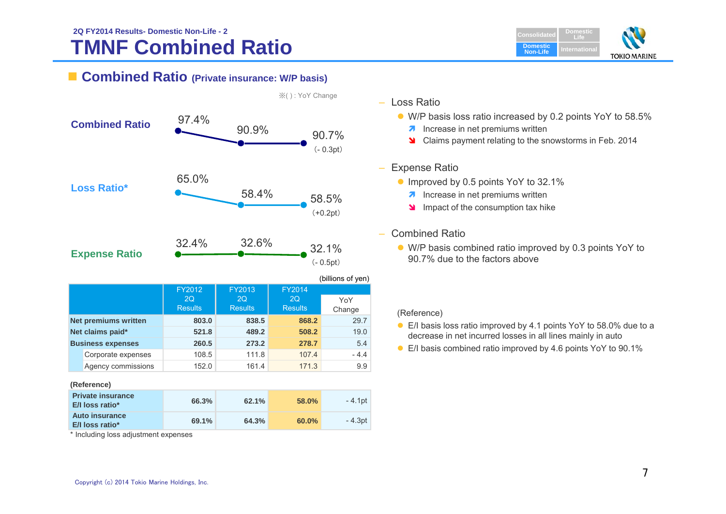### **TMNF Combined Ratio 2Q FY2014 Results- Domestic Non-Life - 2Consolidated Consolidated**



## **Combined Ratio (Private insurance: W/P basis)**

| <b>Combined Ratio</b>       | 97.4%          | 90.9%          |                     | 90.7%<br>$(-0.3pt)$                      |
|-----------------------------|----------------|----------------|---------------------|------------------------------------------|
| <b>Loss Ratio*</b>          | 65.0%          | 58.4%          |                     | 58.5%<br>$(+0.2pt)$                      |
| <b>Expense Ratio</b>        | 32.4%          | 32.6%          |                     | 32.1%<br>$(-0.5pt)$<br>(billions of yen) |
|                             | FY2012<br>2O   | FY2013<br>2O   | <b>FY2014</b><br>2O | YoY                                      |
|                             | <b>Results</b> | <b>Results</b> | <b>Results</b>      | Change                                   |
| <b>Net premiums written</b> | 803.0          | 838.5          | 868.2               | 29.7                                     |
| Net claims paid*            | 521.8          | 489.2          | 508.2               | 19.0                                     |
| <b>Business expenses</b>    | 260.5          | 273.2          | 278.7               | 5.4                                      |
| Corporate expenses          | 108.5          | 111.8          | 107.4               | $-4.4$                                   |
| Agency commissions          | 152.0          | 161.4          | 171.3               | 9.9                                      |
| (Reference)                 |                |                |                     |                                          |
|                             |                |                |                     |                                          |

| <b>Private insurance</b><br><b>E/I</b> loss ratio* | 66.3% | 62.1% | 58.0%    | - 4.1pt |
|----------------------------------------------------|-------|-------|----------|---------|
| Auto insurance<br>E/I loss ratio*                  | 69.1% | 64.3% | $60.0\%$ | - 4.3pt |

\* Including loss adjustment expenses

※( ) : YoY Change

- Loss Ratio
	- W/P basis loss ratio increased by 0.2 points YoY to 58.5%
		- **A** Increase in net premiums written
		- Claims payment relating to the snowstorms in Feb. 2014

### – Expense Ratio

- Improved by 0.5 points YoY to 32.1%
	- **A** Increase in net premiums written
	- Impact of the consumption tax hike
- Combined Ratio
	- W/P basis combined ratio improved by 0.3 points YoY to 90.7% due to the factors above

### (Reference)

- E/I basis loss ratio improved by 4.1 points YoY to 58.0% due to a decrease in net incurred losses in all lines mainly in auto
- E/I basis combined ratio improved by 4.6 points YoY to 90.1%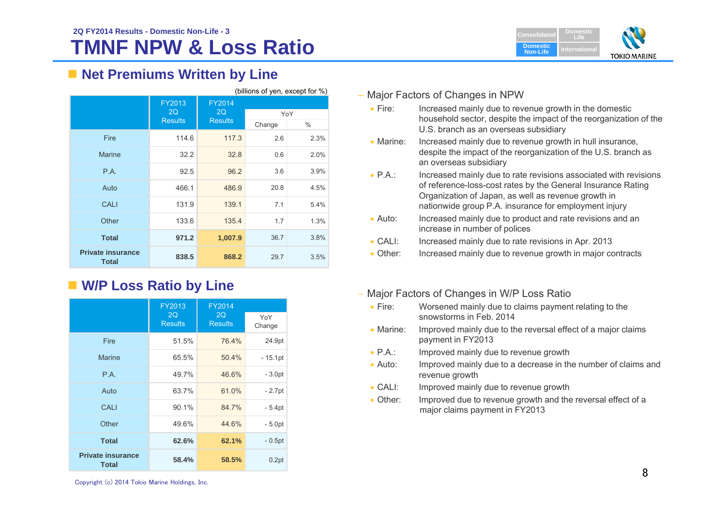

# ■ Net Premiums Written by Line

|                                          | (billions of yen, except for %) |                     |        |      |
|------------------------------------------|---------------------------------|---------------------|--------|------|
|                                          | FY2013<br>2Q                    | <b>FY2014</b><br>2Q | YoY    |      |
|                                          | <b>Results</b>                  | <b>Results</b>      | Change | $\%$ |
| Fire                                     | 114.6                           | 117.3               | 2.6    | 2.3% |
| <b>Marine</b>                            | 32.2                            | 32.8                | 0.6    | 2.0% |
| P.A.                                     | 92.5                            | 96.2                | 3.6    | 3.9% |
| Auto                                     | 466.1                           | 486.9               | 20.8   | 4.5% |
| <b>CALI</b>                              | 131.9                           | 139.1               | 7.1    | 5.4% |
| Other                                    | 133.6                           | 135.4               | 1.7    | 1.3% |
| <b>Total</b>                             | 971.2                           | 1,007.9             | 36.7   | 3.8% |
| <b>Private insurance</b><br><b>Total</b> | 838.5                           | 868.2               | 29.7   | 3.5% |

# **W/P Loss Ratio by Line**

|                                          | FY2013               | <b>FY2014</b>        |               |
|------------------------------------------|----------------------|----------------------|---------------|
|                                          | 2Q<br><b>Results</b> | 2Q<br><b>Results</b> | YoY<br>Change |
| Fire                                     | 51.5%                | 76.4%                | 24.9pt        |
| <b>Marine</b>                            | 65.5%                | 50.4%                | $-15.1pt$     |
| P.A.                                     | 49.7%                | 46.6%                | $-3.0pt$      |
| Auto                                     | 63.7%                | 61.0%                | $-2.7pt$      |
| <b>CALI</b>                              | 90.1%                | 84.7%                | $-5.4pt$      |
| Other                                    | 49.6%                | 44.6%                | $-5.0pt$      |
| <b>Total</b>                             | 62.6%                | 62.1%                | $-0.5pt$      |
| <b>Private insurance</b><br><b>Total</b> | 58.4%                | 58.5%                | 0.2pt         |

### – Major Factors of Changes in NPW

- $\bullet$  Fire: Increased mainly due to revenue growth in the domestic household sector, despite the impact of the reorganization of the U.S. branch as an overseas subsidiary
- Marine: Increased mainly due to revenue growth in hull insurance, despite the impact of the reorganization of the U.S. branch as an overseas subsidiary
- $\bullet$  PA $\cdot$ Increased mainly due to rate revisions associated with revisions of reference-loss-cost rates by the General Insurance Rating Organization of Japan, as well as revenue growth in nationwide group P.A. insurance for employment injury
- $\bullet$  Auto: Increased mainly due to product and rate revisions and an increase in number of polices
- $\bullet$  CALI: Increased mainly due to rate revisions in Apr. 2013
- Other: Increased mainly due to revenue growth in major contracts
- Major Factors of Changes in W/P Loss Ratio
	- $\bullet$  Fire: Worsened mainly due to claims payment relating to the snowstorms in Feb. 2014
	- Marine: Improved mainly due to the reversal effect of a major claims payment in FY2013
	- $\bullet$  P.A.: Improved mainly due to revenue growth
	- $\bullet$  Auto: Improved mainly due to a decrease in the number of claims and revenue growth
	- $\bullet$  CALE Improved mainly due to revenue growth
	- Other: Improved due to revenue growth and the reversal effect of a major claims payment in FY2013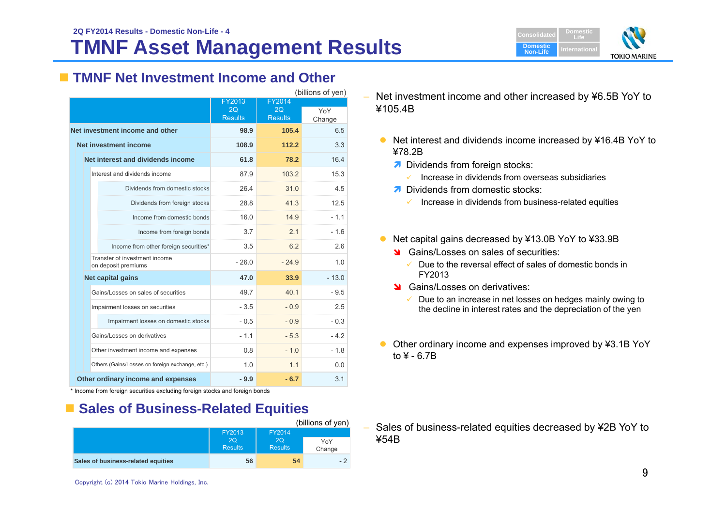

# **TMNF Net Investment Income and Other**

|                                                      |                |                | (billions of yen) |
|------------------------------------------------------|----------------|----------------|-------------------|
|                                                      | FY2013<br>20   | FY2014<br>20   |                   |
|                                                      | <b>Results</b> | <b>Results</b> | YoY<br>Change     |
| Net investment income and other                      | 98.9           | 105.4          | 6.5               |
| Net investment income                                | 108.9          | 112.2          | 3.3               |
| Net interest and dividends income                    | 61.8           | 78.2           | 16.4              |
| Interest and dividends income                        | 87.9           | 103.2          | 15.3              |
| Dividends from domestic stocks                       | 26.4           | 31.0           | 4.5               |
| Dividends from foreign stocks                        | 28.8           | 41.3           | 12.5              |
| Income from domestic bonds                           | 16.0           | 14.9           | $-1.1$            |
| Income from foreign bonds                            | 3.7            | 2.1            | $-1.6$            |
| Income from other foreign securities*                | 3.5            | 6.2            | 2.6               |
| Transfer of investment income<br>on deposit premiums | $-260$         | $-24.9$        | 1.0               |
| Net capital gains                                    | 47.0           | 33.9           | $-13.0$           |
| Gains/Losses on sales of securities                  | 49.7           | 40.1           | $-9.5$            |
| Impairment losses on securities                      | $-3.5$         | $-0.9$         | 2.5               |
| Impairment losses on domestic stocks                 | $-0.5$         | $-0.9$         | $-0.3$            |
| Gains/Losses on derivatives                          | $-1.1$         | $-5.3$         | $-4.2$            |
| Other investment income and expenses                 | 0.8            | $-10$          | $-1.8$            |
| Others (Gains/Losses on foreign exchange, etc.)      | 1.0            | 1.1            | 0.0               |
| Other ordinary income and expenses                   | $-9.9$         | $-6.7$         | 3.1               |

\* Income from foreign securities excluding foreign stocks and foreign bonds

# **Example Sales of Business-Related Equities**

|                                    |                             |                      | (billions of yen) |
|------------------------------------|-----------------------------|----------------------|-------------------|
|                                    | FY2013                      |                      |                   |
|                                    | <b>2Q</b><br><b>Results</b> | 2O<br><b>Results</b> | YoY<br>Change     |
| Sales of business-related equities | 56                          | 54                   | $-2$              |
|                                    |                             |                      |                   |

– Net investment income and other increased by ¥6.5B YoY to ¥105.4B

- Net interest and dividends income increased by ¥16.4B YoY to ¥78.2B
	- **A** Dividends from foreign stocks:
		- $\checkmark$ Increase in dividends from overseas subsidiaries
	- **7** Dividends from domestic stocks:
		- $\checkmark$  Increase in dividends from business-related equities
- Net capital gains decreased by ¥13.0B YoY to ¥33.9B
	- **S** Gains/Losses on sales of securities:
		- $\checkmark$  Due to the reversal effect of sales of domestic bonds in FY2013
	- Stains/Losses on derivatives:
		- ✓ Due to an increase in net losses on hedges mainly owing to the decline in interest rates and the depreciation of the yen
- Other ordinary income and expenses improved by ¥3.1B YoY to  $4 - 6.7B$

– Sales of business-related equities decreased by ¥2B YoY to ¥54B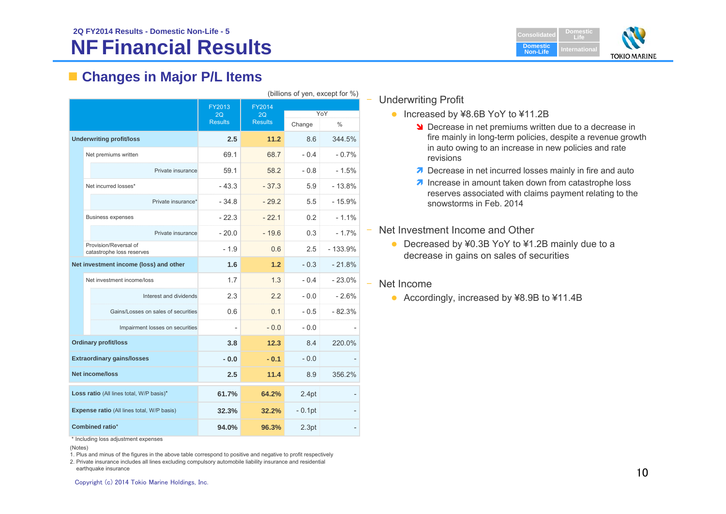

# **Changes in Major P/L Items**

| (billions of yen, except for %)                   |                                                    |                      |                      |          |           |
|---------------------------------------------------|----------------------------------------------------|----------------------|----------------------|----------|-----------|
|                                                   |                                                    | FY2013               | FY2014               |          |           |
|                                                   |                                                    | 2Q<br><b>Results</b> | 2Q<br><b>Results</b> | YoY      |           |
|                                                   |                                                    |                      |                      | Change   | $\%$      |
|                                                   | <b>Underwriting profit/loss</b>                    | 2.5                  | 11.2                 | 8.6      | 344.5%    |
|                                                   | Net premiums written                               | 69.1                 | 68.7                 | $-0.4$   | $-0.7%$   |
|                                                   | Private insurance                                  | 59.1                 | 58.2                 | $-0.8$   | $-1.5%$   |
|                                                   | Net incurred losses*                               | $-43.3$              | $-37.3$              | 5.9      | $-13.8%$  |
|                                                   | Private insurance*                                 | $-34.8$              | $-29.2$              | 5.5      | $-15.9%$  |
|                                                   | <b>Business expenses</b>                           | $-22.3$              | $-22.1$              | 0.2      | $-1.1\%$  |
|                                                   | Private insurance                                  | $-20.0$              | $-19.6$              | 0.3      | $-1.7%$   |
|                                                   | Provision/Reversal of<br>catastrophe loss reserves | $-1.9$               | 0.6                  | 2.5      | $-133.9%$ |
|                                                   | Net investment income (loss) and other             | 1.6                  | 1.2                  | $-0.3$   | $-21.8%$  |
|                                                   | Net investment income/loss                         | 1.7                  | 1.3                  | $-0.4$   | $-23.0%$  |
|                                                   | Interest and dividends                             | 2.3                  | 2.2                  | $-0.0$   | $-2.6%$   |
|                                                   | Gains/Losses on sales of securities                | 0.6                  | 0.1                  | $-0.5$   | $-82.3%$  |
|                                                   | Impairment losses on securities                    | $\overline{a}$       | $-0.0$               | $-0.0$   |           |
|                                                   | <b>Ordinary profit/loss</b>                        | 3.8                  | 12.3                 | 8.4      | 220.0%    |
| <b>Extraordinary gains/losses</b>                 |                                                    | $-0.0$               | $-0.1$               | $-0.0$   |           |
| <b>Net income/loss</b>                            |                                                    | 2.5                  | 11.4                 | 8.9      | 356.2%    |
| Loss ratio (All lines total, W/P basis)*          |                                                    | 61.7%                | 64.2%                | 2.4pt    |           |
| <b>Expense ratio (All lines total, W/P basis)</b> |                                                    | 32.3%                | 32.2%                | $-0.1pt$ |           |
| <b>Combined ratio*</b>                            |                                                    | 94.0%                | 96.3%                | 2.3pt    |           |

## ‒ Underwriting Profit

- Increased by ¥8.6B YoY to ¥11.2B
	- **Decrease in net premiums written due to a decrease in** fire mainly in long-term policies, despite a revenue growth in auto owing to an increase in new policies and rate revisions
	- Decrease in net incurred losses mainly in fire and auto
	- $\lambda$  Increase in amount taken down from catastrophe loss reserves associated with claims payment relating to the snowstorms in Feb. 2014
- ‒ Net Investment Income and Other
	- Decreased by ¥0.3B YoY to ¥1.2B mainly due to a decrease in gains on sales of securities

### Net Income

‒

● Accordingly, increased by ¥8.9B to ¥11.4B

\* Including loss adjustment expenses

(Notes)

1. Plus and minus of the figures in the above table correspond to positive and negative to profit respectively

<sup>2.</sup> Private insurance includes all lines excluding compulsory automobile liability insurance and residential earthquake insurance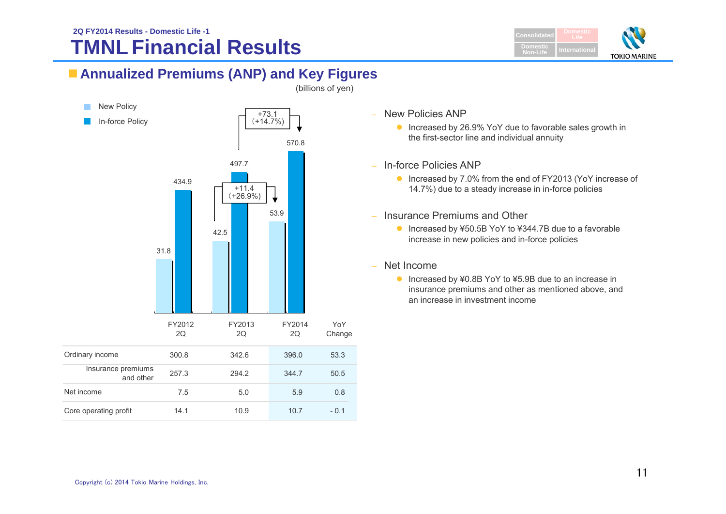### **TMNL Financial Results 2Q FY2014 Results - Domestic Life -1Consolidated Consolidated Consolidated Consolidated Consolidated**



# **Annualized Premiums (ANP) and Key Figures**



(billions of yen)

- New Policies ANP
	- Increased by 26.9% YoY due to favorable sales growth in the first-sector line and individual annuity
- In-force Policies ANP
	- Increased by 7.0% from the end of FY2013 (YoY increase of 14.7%) due to a steady increase in in-force policies
- – Insurance Premiums and Other
	- Increased by ¥50.5B YoY to ¥344.7B due to a favorable increase in new policies and in-force policies
- Net Income
	- Increased by ¥0.8B YoY to ¥5.9B due to an increase in insurance premiums and other as mentioned above, and an increase in investment income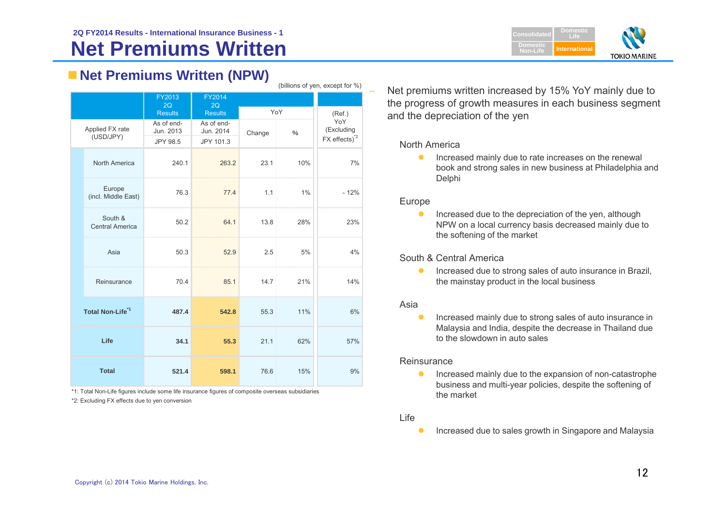

# **Net Premiums Written (NPW)**

| (DIIIIOITS OF YELL, EXCEPT TO 70) |                                   |                         |                         |        |      |                           |
|-----------------------------------|-----------------------------------|-------------------------|-------------------------|--------|------|---------------------------|
|                                   |                                   | FY2013                  | FY2014                  |        |      |                           |
|                                   |                                   | 2Q<br><b>Results</b>    | 2Q<br><b>Results</b>    | YoY    |      | (Ref.)                    |
|                                   | Applied FX rate<br>(USD/JPY)      | As of end-<br>Jun. 2013 | As of end-<br>Jun. 2014 | Change | $\%$ | YoY<br>(Excluding         |
|                                   |                                   | JPY 98.5                | JPY 101.3               |        |      | FX effects) <sup>*2</sup> |
|                                   | North America                     | 240.1                   | 263.2                   | 23.1   | 10%  | 7%                        |
|                                   | Europe<br>(incl. Middle East)     | 76.3                    | 77.4                    | 1.1    | 1%   | $-12%$                    |
|                                   | South &<br><b>Central America</b> | 50.2                    | 64.1                    | 13.8   | 28%  | 23%                       |
|                                   | Asia                              | 50.3                    | 52.9                    | 2.5    | 5%   | 4%                        |
|                                   | Reinsurance                       | 70.4                    | 85.1                    | 14.7   | 21%  | 14%                       |
| Total Non-Life <sup>*1</sup>      |                                   | 487.4                   | 542.8                   | 55.3   | 11%  | 6%                        |
| Life                              |                                   | 34.1                    | 55.3                    | 21.1   | 62%  | 57%                       |
| <b>Total</b>                      |                                   | 521.4                   | 598.1                   | 76.6   | 15%  | 9%                        |

\*2: Excluding FX effects due to yen conversion \*1: Total Non-Life figures include some life insurance figures of composite overseas subsidiaries  Net premiums written increased by 15% YoY mainly due to the progress of growth measures in each business segment and the depreciation of the yen

North America

 $\bullet$  Increased mainly due to rate increases on the renewal book and strong sales in new business at Philadelphia and Delphi

### Europe

 $(b)$ illians of yen, except for  $\frac{1}{b}$ 

 $\bullet$  Increased due to the depreciation of the yen, although NPW on a local currency basis decreased mainly due to the softening of the market

South & Central America

 $\bullet$  Increased due to strong sales of auto insurance in Brazil, the mainstay product in the local business

### Asia

 $\bullet$  Increased mainly due to strong sales of auto insurance in Malaysia and India, despite the decrease in Thailand due to the slowdown in auto sales

### Reinsurance

 $\bullet$  Increased mainly due to the expansion of non-catastrophe business and multi-year policies, despite the softening of the market

### Life

 $\bullet$ Increased due to sales growth in Singapore and Malaysia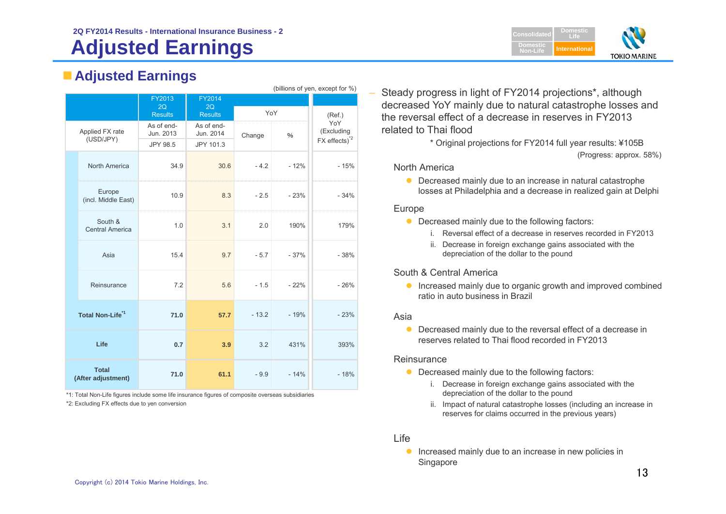### **2Q FY2014 Results - International Insurance Business - 2**

# **Adjusted Earnings**

# **Adjusted Earnings**

|                                    | (billions of yen, except for %)   |                         |                         |         |        |                    |  |
|------------------------------------|-----------------------------------|-------------------------|-------------------------|---------|--------|--------------------|--|
|                                    |                                   | FY2013                  | FY2014                  |         |        |                    |  |
|                                    |                                   | 2Q<br><b>Results</b>    | 2Q<br><b>Results</b>    | YoY     |        | (Ref.)             |  |
|                                    | Applied FX rate                   | As of end-<br>Jun. 2013 | As of end-<br>Jun. 2014 | Change  | $\%$   | YoY<br>(Excluding  |  |
|                                    | (USD/JPY)                         | JPY 98.5                | JPY 101.3               |         |        | $FX$ effects) $^2$ |  |
|                                    | North America                     | 34.9                    | 30.6                    | $-4.2$  | $-12%$ | $-15%$             |  |
|                                    | Europe<br>(incl. Middle East)     | 10.9                    | 8.3                     | $-2.5$  | $-23%$ | $-34%$             |  |
|                                    | South &<br><b>Central America</b> | 1.0                     | 3.1                     | 2.0     | 190%   | 179%               |  |
|                                    | Asia                              | 15.4                    | 9.7                     | $-5.7$  | $-37%$ | $-38%$             |  |
|                                    | Reinsurance                       | 7.2                     | 5.6                     | $-1.5$  | $-22%$ | $-26%$             |  |
| Total Non-Life <sup>*1</sup>       |                                   | 71.0                    | 57.7                    | $-13.2$ | $-19%$ | $-23%$             |  |
| Life                               |                                   | 0.7                     | 3.9                     | 3.2     | 431%   | 393%               |  |
| <b>Total</b><br>(After adjustment) |                                   | 71.0                    | 61.1                    | $-9.9$  | $-14%$ | $-18%$             |  |

\*1: Total Non-Life figures include some life insurance figures of composite overseas subsidiaries \*2: Excluding FX effects due to yen conversion

 Steady progress in light of FY2014 projections\*, although decreased YoY mainly due to natural catastrophe losses and the reversal effect of a decrease in reserves in FY2013 related to Thai flood

> \* Original projections for FY2014 full year results: ¥105B (Progress: approx. 58%)

### North America

• Decreased mainly due to an increase in natural catastrophe losses at Philadelphia and a decrease in realized gain at Delphi

### Europe

–

- Decreased mainly due to the following factors:
	- i. Reversal effect of a decrease in reserves recorded in FY2013
	- ii. Decrease in foreign exchange gains associated with the depreciation of the dollar to the pound

### South & Central America

**Increased mainly due to organic growth and improved combined** ratio in auto business in Brazil

### Asia

• Decreased mainly due to the reversal effect of a decrease in reserves related to Thai flood recorded in FY2013

### Reinsurance

- Decreased mainly due to the following factors:
	- i. Decrease in foreign exchange gains associated with the depreciation of the dollar to the pound
	- ii. Impact of natural catastrophe losses (including an increase in reserves for claims occurred in the previous years)

### Life

**Increased mainly due to an increase in new policies in** Singapore

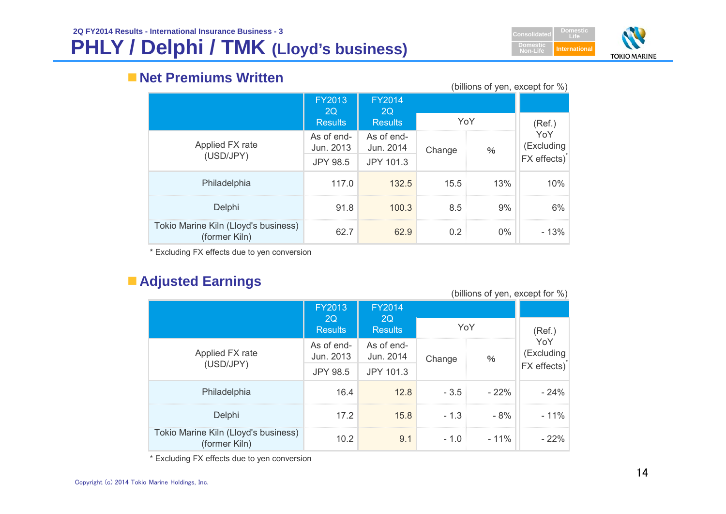# **PHLY / Delphi / TMK (Lloyd's business)**



# **Net Premiums Written**

(billions of yen, except for %)

|                                                       | <b>FY2013</b><br><b>2Q</b> | <b>FY2014</b><br>2Q     |        |       |                   |
|-------------------------------------------------------|----------------------------|-------------------------|--------|-------|-------------------|
|                                                       | <b>Results</b>             | <b>Results</b>          | YoY    |       | (Ref.)            |
| Applied FX rate                                       | As of end-<br>Jun. 2013    | As of end-<br>Jun. 2014 | Change | $\%$  | YoY<br>(Excluding |
| (USD/JPY)                                             | <b>JPY 98.5</b>            | JPY 101.3               |        |       | FX effects)       |
| Philadelphia                                          | 117.0                      | 132.5                   | 15.5   | 13%   | 10%               |
| Delphi                                                | 91.8                       | 100.3                   | 8.5    | 9%    | 6%                |
| Tokio Marine Kiln (Lloyd's business)<br>(former Kiln) | 62.7                       | 62.9                    | 0.2    | $0\%$ | $-13%$            |

\* Excluding FX effects due to yen conversion

# **Adjusted Earnings**

|                                                       |                            | (billions of yen, except for %) |        |         |                   |
|-------------------------------------------------------|----------------------------|---------------------------------|--------|---------|-------------------|
|                                                       | <b>FY2013</b><br><b>2Q</b> | <b>FY2014</b><br>-2Q            |        |         |                   |
|                                                       | <b>Results</b>             | <b>Results</b>                  |        | YoY     | (Ref.)            |
| Applied FX rate                                       | As of end-<br>Jun. 2013    | As of end-<br>Jun. 2014         | Change | $\%$    | YoY<br>(Excluding |
| (USD/JPY)                                             | <b>JPY 98.5</b>            | JPY 101.3                       |        |         | FX effects)       |
| Philadelphia                                          | 16.4                       | 12.8                            | $-3.5$ | $-22\%$ | $-24%$            |
| Delphi                                                | 17.2                       | 15.8                            | $-1.3$ | - 8%    | $-11%$            |
| Tokio Marine Kiln (Lloyd's business)<br>(former Kiln) | 10.2                       | 9.1                             | $-1.0$ | - 11%   | - 22%             |

\* Excluding FX effects due to yen conversion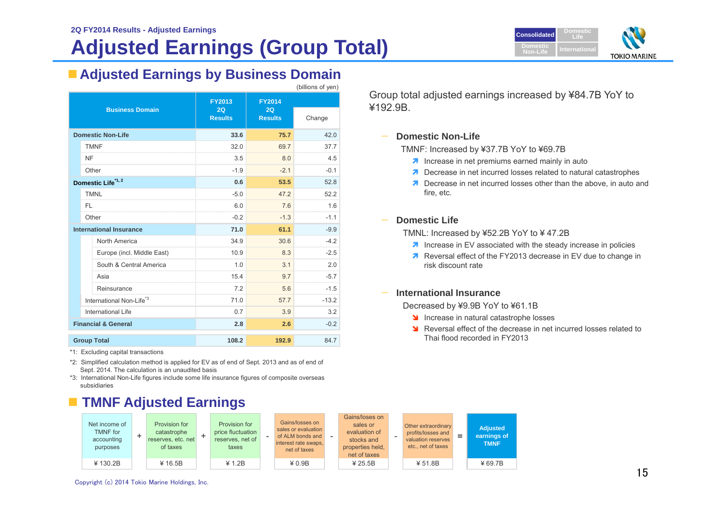# **Adjusted Earnings (Group Total)**

(billions of yen)



# **Adjusted Earnings by Business Domain**

| <b>Business Domain</b>         |                                      | <b>FY2013</b>        | <b>FY2014</b>        |         |
|--------------------------------|--------------------------------------|----------------------|----------------------|---------|
|                                |                                      | 2Q<br><b>Results</b> | 2Q<br><b>Results</b> | Change  |
|                                | <b>Domestic Non-Life</b>             | 33.6                 | 75.7                 | 42.0    |
|                                | <b>TMNF</b>                          | 32.0                 | 69.7                 | 37.7    |
|                                | NF                                   | 3.5                  | 8.0                  | 4.5     |
|                                | Other                                | $-1.9$               | $-2.1$               | $-0.1$  |
|                                | Domestic Life*1, 2                   | 0.6                  | 53.5                 | 52.8    |
|                                | <b>TMNL</b>                          | $-5.0$               | 47.2                 | 52.2    |
|                                | FL                                   | 6.0                  | 7.6                  | 1.6     |
|                                | Other                                | $-0.2$               | $-1.3$               | $-1.1$  |
|                                | <b>International Insurance</b>       | 71.0                 | 61.1                 | $-9.9$  |
|                                | North America                        | 34.9                 | 30.6                 | $-4.2$  |
|                                | Europe (incl. Middle East)           | 10.9                 | 8.3                  | $-2.5$  |
|                                | South & Central America              | 1.0                  | 3.1                  | 2.0     |
|                                | Asia                                 | 15.4                 | 9.7                  | $-5.7$  |
|                                | Reinsurance                          | 7.2                  | 5.6                  | $-1.5$  |
|                                | International Non-Life <sup>*3</sup> | 71.0                 | 57.7                 | $-13.2$ |
|                                | <b>International Life</b>            | 0.7                  | 3.9                  | 3.2     |
| <b>Financial &amp; General</b> |                                      | 2.8                  | 2.6                  | $-0.2$  |
| <b>Group Total</b>             |                                      | 108.2                | 192.9                | 84.7    |

\*1: Excluding capital transactions

\*2: Simplified calculation method is applied for EV as of end of Sept. 2013 and as of end of Sept. 2014. The calculation is an unaudited basis

\*3: International Non-Life figures include some life insurance figures of composite overseas subsidiaries

# **TMNF Adjusted Earnings**



Group total adjusted earnings increased by ¥84.7B YoY to ¥192.9B.

### **Domestic Non-Life**

TMNF: Increased by ¥37.7B YoY to ¥69.7B

- $\lambda$  Increase in net premiums earned mainly in auto
- **7** Decrease in net incurred losses related to natural catastrophes
- **Decrease in net incurred losses other than the above, in auto and** fire, etc.

#### —**Domestic Life**

TMNL: Increased by ¥52.2B YoY to ¥ 47.2B

- $\lambda$  Increase in EV associated with the steady increase in policies
- **Reversal effect of the FY2013 decrease in EV due to change in** risk discount rate

#### —**International Insurance**

Decreased by ¥9.9B YoY to ¥61.1B

- Increase in natural catastrophe losses
- S Reversal effect of the decrease in net incurred losses related to Thai flood recorded in FY2013

Copyright (c) 2014 Tokio Marine Holdings, Inc.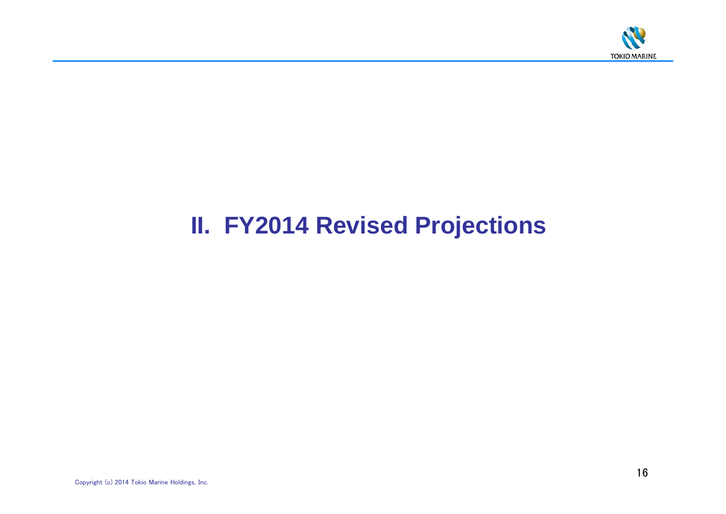

# **II. FY2014 Revised Projections**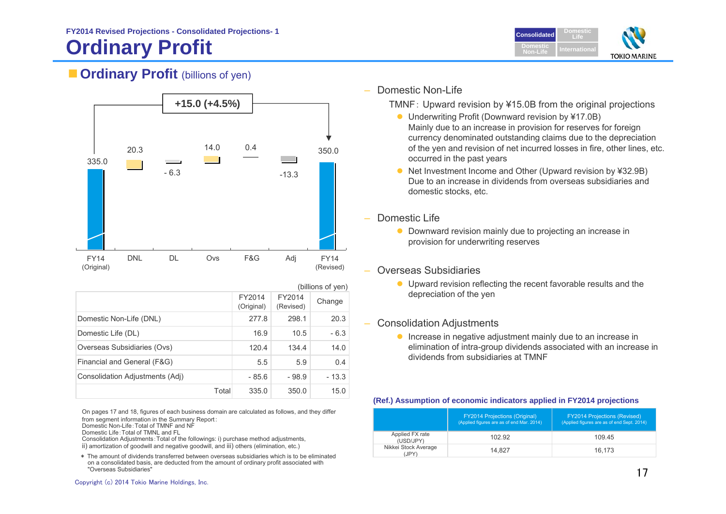# **Ordinary Profit**



# **Cordinary Profit** (billions of yen)



|                                 | (billions of yen)    |                     |         |  |
|---------------------------------|----------------------|---------------------|---------|--|
|                                 | FY2014<br>(Original) | FY2014<br>(Revised) | Change  |  |
| Domestic Non-Life (DNL)         | 277.8                | 298.1               | 20.3    |  |
| Domestic Life (DL)              | 16.9                 | 10.5                | $-6.3$  |  |
| Overseas Subsidiaries (Ovs)     | 120.4                | 134.4               | 14.0    |  |
| Financial and General (F&G)     | 5.5                  | 5.9                 | 0.4     |  |
| Consolidation Adjustments (Adj) | - 85.6               | - 98.9              | $-13.3$ |  |
| Total                           | 335.0                | 350.0               | 15.0    |  |

On pages 17 and 18, figures of each business domain are calculated as follows, and they differ from segment information in the Summary Report:

Domestic Non-Life:Total of TMNF and NF

Domestic Life:Total of TMNL and FL

 Consolidation Adjustments:Total of the followings: i) purchase method adjustments, ii) amortization of goodwill and negative goodwill, and iii) others (elimination, etc.)

\* The amount of dividends transferred between overseas subsidiaries which is to be eliminated on a consolidated basis, are deducted from the amount of ordinary profit associated with "Overseas Subsidiaries"

### Domestic Non-Life

TMNF: Upward revision by ¥15.0B from the original projections

- Underwriting Profit (Downward revision by ¥17.0B) Mainly due to an increase in provision for reserves for foreign currency denominated outstanding claims due to the depreciation of the yen and revision of net incurred losses in fire, other lines, etc. occurred in the past years
- Net Investment Income and Other (Upward revision by ¥32.9B) Due to an increase in dividends from overseas subsidiaries and domestic stocks, etc.
- Domestic Life
	- Downward revision mainly due to projecting an increase in provision for underwriting reserves
- Overseas Subsidiaries
	- Upward revision reflecting the recent favorable results and the depreciation of the yen
- ‒ Consolidation Adjustments
	- **•** Increase in negative adjustment mainly due to an increase in elimination of intra-group dividends associated with an increase in dividends from subsidiaries at TMNF

### **(Ref.) Assumption of economic indicators applied in FY2014 projections**

|                               | <b>FY2014 Projections (Original)</b><br>(Applied figures are as of end Mar. 2014) | <b>FY2014 Projections (Revised)</b><br>(Applied figures are as of end Sept. 2014) |
|-------------------------------|-----------------------------------------------------------------------------------|-----------------------------------------------------------------------------------|
| Applied FX rate<br>(USD/JPY)  | 102.92                                                                            | 109 45                                                                            |
| Nikkei Stock Average<br>(JPY) | 14.827                                                                            | 16.173                                                                            |

Copyright (c) 2014 Tokio Marine Holdings, Inc.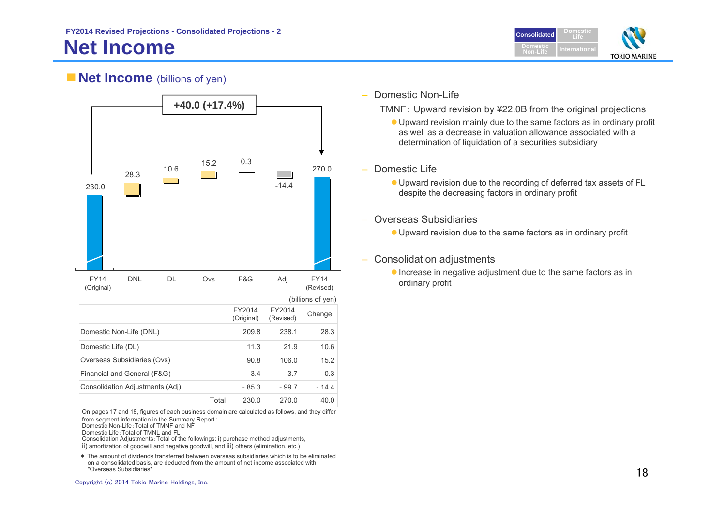

## **Net Income** (billions of yen)



| Domestic Non-Life (DNL)         |       | 209.8   | 238.1   | 28.3   |
|---------------------------------|-------|---------|---------|--------|
| Domestic Life (DL)              |       | 11.3    | 21.9    | 10.6   |
| Overseas Subsidiaries (Ovs)     |       | 90.8    | 106.0   | 15.2   |
| Financial and General (F&G)     |       | 3.4     | 3.7     | 0.3    |
| Consolidation Adjustments (Adj) |       | $-85.3$ | $-99.7$ | - 14 4 |
|                                 | Total | 230.0   | 270.0   | 40.0   |

On pages 17 and 18, figures of each business domain are calculated as follows, and they differ from segment information in the Summary Report: Domestic Non-Life:Total of TMNF and NF

Domestic Life:Total of TMNL and FL

 Consolidation Adjustments:Total of the followings: i) purchase method adjustments, ii) amortization of goodwill and negative goodwill, and iii) others (elimination, etc.)

\* The amount of dividends transferred between overseas subsidiaries which is to be eliminated on a consolidated basis, are deducted from the amount of net income associated with "Overseas Subsidiaries"

#### ‒Domestic Non-Life

TMNF: Upward revision by ¥22.0B from the original projections

- Upward revision mainly due to the same factors as in ordinary profit as well as a decrease in valuation allowance associated with a determination of liquidation of a securities subsidiary
- ‒ Domestic Life
	- Upward revision due to the recording of deferred tax assets of FL despite the decreasing factors in ordinary profit
	- Overseas Subsidiaries
		- Upward revision due to the same factors as in ordinary profit
- Consolidation adjustments
	- Increase in negative adjustment due to the same factors as in ordinary profit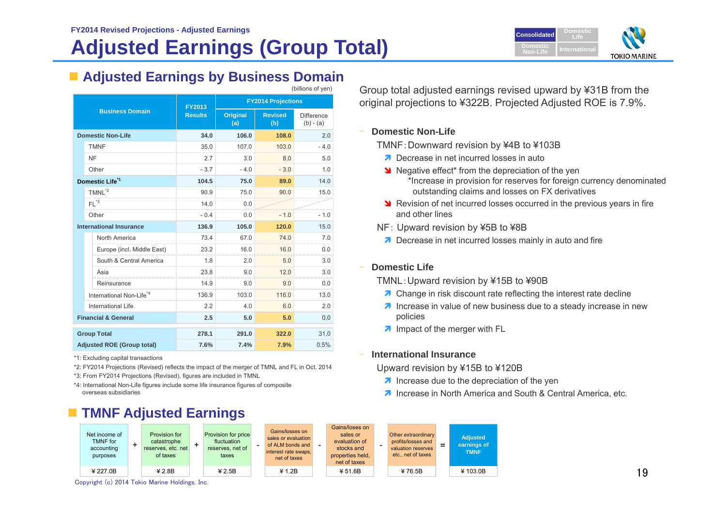# **Adjusted Earnings (Group Total)**



### **Adjusted Earnings by Business Domain** (billions of yen)

|                        |                                      | FY2013         | <b>FY2014 Projections</b> |                       |                                  |  |
|------------------------|--------------------------------------|----------------|---------------------------|-----------------------|----------------------------------|--|
| <b>Business Domain</b> |                                      | <b>Results</b> | <b>Original</b><br>(a)    | <b>Revised</b><br>(b) | <b>Difference</b><br>$(b) - (a)$ |  |
|                        | <b>Domestic Non-Life</b>             | 34.0           | 106.0                     | 108.0                 | 2.0                              |  |
|                        | <b>TMNF</b>                          | 35.0           | 107.0                     | 103.0                 | $-4.0$                           |  |
|                        | NF<br>.                              | 2.7            | 3.0                       | 8.0                   | 5.0                              |  |
|                        | Other                                | $-3.7$         | $-4.0$                    | $-3.0$                | 1.0                              |  |
|                        | Domestic Life <sup>*1</sup>          | 104.5          | 75.0                      | 89.0                  | 14.0                             |  |
|                        | TMNL <sup>*2</sup>                   | 90.9           | 75.0                      | 90.0                  | 15.0                             |  |
|                        | $FL^{\ast 3}$                        | 14.0           | 0.0                       |                       |                                  |  |
|                        | Other                                | $-0.4$         | 0.0                       | $-1.0$                | $-1.0$                           |  |
|                        | <b>International Insurance</b>       | 136.9          | 105.0                     | 120.0                 | 15.0                             |  |
|                        | North America                        | 73.4           | 67.0                      | 74.0                  | 70                               |  |
|                        | Europe (incl. Middle East)           | 23.2           | 16.0                      | 16.0                  | 0.0                              |  |
|                        | South & Central America              | 1.8            | 2.0                       | 50                    | 3.0                              |  |
|                        | Asia                                 | 23.8           | 9.0                       | 12.0                  | 3.0                              |  |
|                        | Reinsurance                          | 14.9           | 9.0                       | 9.0                   | 0.0                              |  |
|                        | International Non-Life <sup>*4</sup> | 136.9          | 103.0                     | 116.0                 | 13.0                             |  |
|                        | International Life                   | 2.2            | 4.0                       | 6.0                   | 2.0                              |  |
|                        | <b>Financial &amp; General</b>       | 2.5            | 5.0                       | 5.0                   | 0.0                              |  |
|                        | <b>Group Total</b>                   | 278.1          | 291.0                     | 322.0                 | 31.0                             |  |
|                        | <b>Adjusted ROE (Group total)</b>    | 7.6%           | 7.4%                      | 7.9%                  | 0.5%                             |  |

\*1: Excluding capital transactions

\*2: FY2014 Projections (Revised) reflects the impact of the merger of TMNL and FL in Oct. 2014

\*3: From FY2014 Projections (Revised), figures are included in TMNL

\*4: International Non-Life figures include some life insurance figures of composite overseas subsidiaries

# Group total adjusted earnings revised upward by ¥31B from the original projections to ¥322B. Projected Adjusted ROE is 7.9%.

### **Domestic Non-Life**

TMNF:Downward revision by ¥4B to ¥103B

- **Decrease in net incurred losses in auto**
- Negative effect\* from the depreciation of the yen \*Increase in provision for reserves for foreign currency denominated outstanding claims and losses on FX derivatives
- **N** Revision of net incurred losses occurred in the previous years in fire and other lines
- NF: Upward revision by ¥5B to ¥8B
- **Decrease in net incurred losses mainly in auto and fire**

### **Domestic Life**

TMNL:Upward revision by ¥15B to ¥90B

- **7** Change in risk discount rate reflecting the interest rate decline
- **T** Increase in value of new business due to a steady increase in new policies
- **A** Impact of the merger with FL

### **International Insurance**

Upward revision by ¥15B to ¥120B

- $\lambda$  Increase due to the depreciation of the yen
- **7** Increase in North America and South & Central America, etc.



Copyright (c) 2014 Tokio Marine Holdings, Inc.

### 19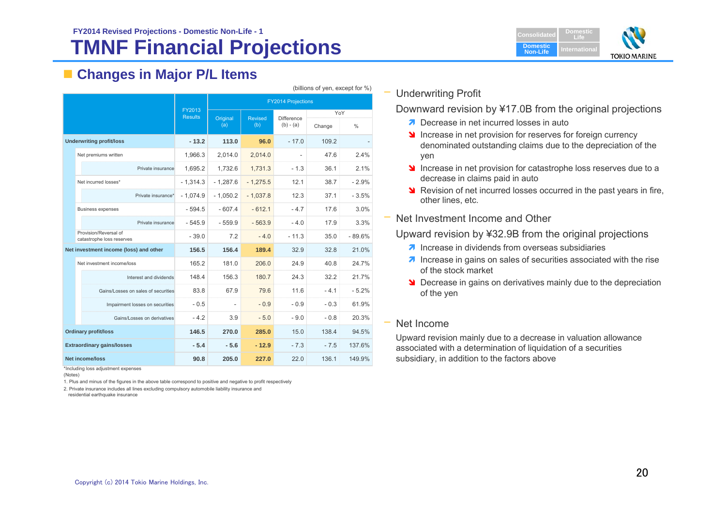# **TMNF Financial Projections FY2014 Revised Projections - Domestic Non-Life - 1**

# **Changes in Major P/L Items**

|                                   | (DIIIIUIIS UI VEII, EXCEPLIUI 70)                  |                                 |            |                |                   |        |               |
|-----------------------------------|----------------------------------------------------|---------------------------------|------------|----------------|-------------------|--------|---------------|
|                                   |                                                    |                                 |            |                |                   |        |               |
|                                   |                                                    | <b>FY2013</b><br><b>Results</b> | Original   | <b>Revised</b> | <b>Difference</b> | YoY    |               |
|                                   |                                                    |                                 | (a)        | (b)            | $(b) - (a)$       | Change | $\frac{0}{0}$ |
|                                   | <b>Underwriting profit/loss</b>                    | $-13.2$                         | 113.0      | 96.0           | $-17.0$           | 109.2  |               |
|                                   | Net premiums written                               | 1,966.3                         | 2,014.0    | 2,014.0        |                   | 47.6   | 2.4%          |
|                                   | Private insurance                                  | 1,695.2                         | 1,732.6    | 1,731.3        | $-1.3$            | 36.1   | 2.1%          |
|                                   | Net incurred losses*                               | $-1,314.3$                      | $-1,287.6$ | $-1,275.5$     | 12.1              | 38.7   | $-2.9%$       |
|                                   | Private insurance*                                 | $-1.074.9$                      | $-1.050.2$ | $-1.037.8$     | 12.3              | 37.1   | $-3.5%$       |
|                                   | <b>Business expenses</b>                           | $-594.5$                        | $-607.4$   | $-612.1$       | $-4.7$            | 17.6   | 3.0%          |
|                                   | Private insurance                                  | $-545.9$                        | $-559.9$   | $-563.9$       | $-4.0$            | 17.9   | 3.3%          |
|                                   | Provision/Reversal of<br>catastrophe loss reserves | $-39.0$                         | 7.2        | $-4.0$         | $-11.3$           | 35.0   | $-89.6%$      |
|                                   | Net investment income (loss) and other             | 156.5                           | 156.4      | 189.4          | 32.9              | 32.8   | 21.0%         |
|                                   | Net investment income/loss                         | 165.2                           | 181.0      | 206.0          | 24.9              | 40.8   | 24.7%         |
|                                   | Interest and dividends                             | 148.4                           | 156.3      | 180.7          | 24.3              | 32.2   | 21.7%         |
|                                   | Gains/Losses on sales of securities                | 83.8                            | 67.9       | 79.6           | 11.6              | $-4.1$ | $-5.2%$       |
|                                   | Impairment losses on securities                    | $-0.5$                          |            | $-0.9$         | $-0.9$            | $-0.3$ | 61.9%         |
|                                   | Gains/Losses on derivatives                        | $-4.2$                          | 3.9        | $-5.0$         | $-9.0$            | $-0.8$ | 20.3%         |
|                                   | <b>Ordinary profit/loss</b>                        | 146.5                           | 270.0      | 285.0          | 15.0              | 138.4  | 94.5%         |
| <b>Extraordinary gains/losses</b> |                                                    | $-5.4$                          | $-5.6$     | $-12.9$        | $-7.3$            | $-7.5$ | 137.6%        |
| Net income/loss                   |                                                    | 90.8                            | 205.0      | 227.0          | 22.0              | 136.1  | 149.9%        |

\*Including loss adjustment expenses

(Notes)

1. Plus and minus of the figures in the above table correspond to positive and negative to profit respectively

2. Private insurance includes all lines excluding compulsory automobile liability insurance and

residential earthquake insurance

## – Underwriting Profit

 $(k)$ illions of  $k$  and except for  $\theta$   $\wedge$ 

Downward revision by ¥17.0B from the original projections

- **Decrease in net incurred losses in auto**
- Increase in net provision for reserves for foreign currency denominated outstanding claims due to the depreciation of the yen
- Increase in net provision for catastrophe loss reserves due to a decrease in claims paid in auto
- **N** Revision of net incurred losses occurred in the past years in fire, other lines, etc.
- Net Investment Income and Other

Upward revision by ¥32.9B from the original projections

- $\lambda$  Increase in dividends from overseas subsidiaries
- **7** Increase in gains on sales of securities associated with the rise of the stock market
- **Decrease in gains on derivatives mainly due to the depreciation** of the yen

### Net Income

Upward revision mainly due to a decrease in valuation allowance associated with a determination of liquidation of a securities subsidiary, in addition to the factors above

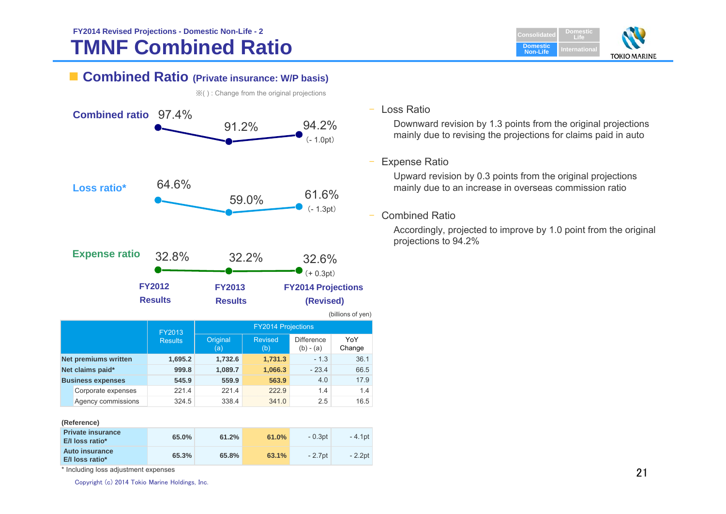# **TMNF Combined Ratio FY2014 Revised Projections - Domestic Non-Life - 2**



## **Combined Ratio (Private insurance: W/P basis)**



※( ) : Change from the original projections

### Loss Ratio

Downward revision by 1.3 points from the original projections mainly due to revising the projections for claims paid in auto

### Expense Ratio

Upward revision by 0.3 points from the original projections mainly due to an increase in overseas commission ratio

### Combined Ratio

Accordingly, projected to improve by 1.0 point from the original projections to 94.2%

|  | Reference |  |
|--|-----------|--|
|  |           |  |

| <b>Private insurance</b><br>E/I loss ratio* | 65.0% | 61.2% | 61.0% | $-0.3$ pt | - 4.1pt  |
|---------------------------------------------|-------|-------|-------|-----------|----------|
| <b>Auto insurance</b><br>E/I loss ratio*    | 65.3% | 65.8% | 63.1% | $-2.7$ pt | $-2.2pt$ |

**Net claims paid\* 999.8 1,089.7 1,066.3** - 23.4 66.5 **Business expenses 545.9 559.9 563.9** 4.0 17.9 Corporate expenses 221.4 221.4 222.9 1.4 1.4 Agency commissions 324.5 338.4 341.0 2.5 16.5

\* Including loss adjustment expenses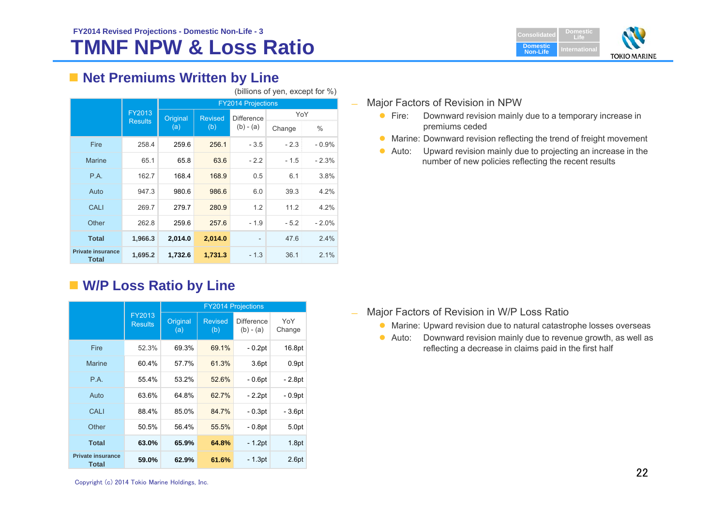

# **Net Premiums Written by Line**

|                                   |                          |          |                | <b>FY2014 Projections</b> |        |         |  |
|-----------------------------------|--------------------------|----------|----------------|---------------------------|--------|---------|--|
|                                   | FY2013<br><b>Results</b> | Original | <b>Revised</b> | <b>Difference</b>         | YoY    |         |  |
|                                   |                          | (a)      | (b)            | $(b) - (a)$               | Change | $\%$    |  |
| <b>Fire</b>                       | 258.4                    | 259.6    | 256.1          | $-3.5$                    | $-2.3$ | $-0.9%$ |  |
| <b>Marine</b>                     | 65.1                     | 65.8     | 63.6           | $-2.2$                    | $-1.5$ | $-2.3%$ |  |
| <b>P.A.</b>                       | 162.7                    | 168.4    | 168.9          | 0.5                       | 6.1    | 3.8%    |  |
| Auto                              | 947.3                    | 980.6    | 986.6          | 6.0                       | 39.3   | 4.2%    |  |
| <b>CALI</b>                       | 269.7                    | 279.7    | 280.9          | 1.2                       | 11.2   | 4.2%    |  |
| Other                             | 262.8                    | 259.6    | 257.6          | $-1.9$                    | $-5.2$ | $-2.0%$ |  |
| <b>Total</b>                      | 1,966.3                  | 2,014.0  | 2,014.0        | $\qquad \qquad -$         | 47.6   | 2.4%    |  |
| <b>Private insurance</b><br>Total | 1,695.2                  | 1,732.6  | 1,731.3        | $-1.3$                    | 36.1   | 2.1%    |  |

# **W/P Loss Ratio by Line**

|                                          |                          | <b>FY2014 Projections</b> |                       |                                  |               |  |  |  |  |
|------------------------------------------|--------------------------|---------------------------|-----------------------|----------------------------------|---------------|--|--|--|--|
|                                          | FY2013<br><b>Results</b> | Original<br>(a)           | <b>Revised</b><br>(b) | <b>Difference</b><br>$(b) - (a)$ | YoY<br>Change |  |  |  |  |
| Fire                                     | 52.3%                    | 69.3%                     | 69.1%                 | - 0.2pt                          | 16.8pt        |  |  |  |  |
| <b>Marine</b>                            | 60.4%                    | 57.7%                     | 61.3%                 | 3.6 <sub>pt</sub>                | 0.9pt         |  |  |  |  |
| P.A.                                     | 55.4%                    | 53.2%                     | 52.6%                 | $-0.6pt$                         | - 2.8pt       |  |  |  |  |
| Auto                                     | 63.6%                    | 64.8%                     | 62.7%                 | - 2.2pt                          | - 0.9pt       |  |  |  |  |
| CALI                                     | 88.4%                    | 85.0%                     | 84.7%                 | - 0.3pt                          | - 3.6pt       |  |  |  |  |
| Other                                    | 50.5%                    | 56.4%                     | 55.5%                 | $-0.8pt$                         | 5.0pt         |  |  |  |  |
| <b>Total</b>                             | 63.0%                    | 65.9%                     | 64.8%                 | $-1.2pt$                         | 1.8pt         |  |  |  |  |
| <b>Private insurance</b><br><b>Total</b> | 59.0%                    | 62.9%                     | 61.6%                 | $-1.3pt$                         | 2.6pt         |  |  |  |  |

(billions of yen, except for %)

#### $\equiv$ Major Factors of Revision in NPW

- $\bullet$  Fire: Downward revision mainly due to a temporary increase in premiums ceded
- Marine: Downward revision reflecting the trend of freight movement
- Auto: Upward revision mainly due to projecting an increase in the number of new policies reflecting the recent results

- $\equiv$  Major Factors of Revision in W/P Loss Ratio
	- Marine: Upward revision due to natural catastrophe losses overseas
	- $\bullet$  Auto: Downward revision mainly due to revenue growth, as well as reflecting a decrease in claims paid in the first half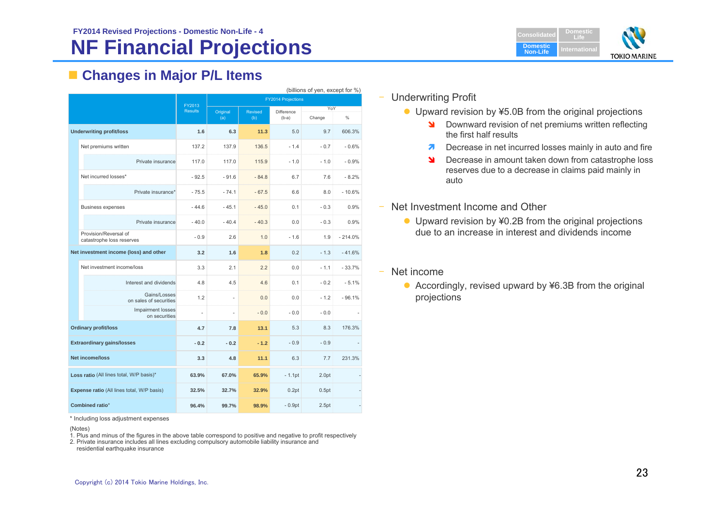# **NF Financial Projections**



# **Changes in Major P/L Items**

|                                            |                                                    |                | (billions of yen, except for %) |                |                           |               |               |  |  |
|--------------------------------------------|----------------------------------------------------|----------------|---------------------------------|----------------|---------------------------|---------------|---------------|--|--|
|                                            |                                                    | FY2013         |                                 |                | <b>FY2014 Projections</b> |               |               |  |  |
|                                            |                                                    | <b>Results</b> | Original<br>(a)                 | Revised<br>(b) | Difference<br>$(b-a)$     | YoY<br>Change | $\frac{0}{0}$ |  |  |
|                                            | <b>Underwriting profit/loss</b>                    | 1.6            | 6.3                             | 11.3           | 5.0                       | 9.7           | 606.3%        |  |  |
|                                            | Net premiums written                               | 137.2          | 137.9                           | 136.5          | $-1.4$                    | $-0.7$        | $-0.6%$       |  |  |
|                                            | Private insurance                                  | 117.0          | 117.0                           | 115.9          | $-1.0$                    | $-1.0$        | $-0.9%$       |  |  |
|                                            | Net incurred losses*                               | $-92.5$        | $-91.6$                         | $-84.8$        | 6.7                       | 7.6           | $-8.2%$       |  |  |
|                                            | Private insurance*                                 | $-75.5$        | $-74.1$                         | $-67.5$        | 6.6                       | 8.0           | $-10.6%$      |  |  |
|                                            | <b>Business expenses</b>                           | $-44.6$        | $-45.1$                         | $-45.0$        | 0.1                       | $-0.3$        | 0.9%          |  |  |
|                                            | Private insurance                                  | $-40.0$        | $-40.4$                         | $-40.3$        | 0.0                       | $-0.3$        | 0.9%          |  |  |
|                                            | Provision/Reversal of<br>catastrophe loss reserves | $-0.9$         | 2.6                             | 1.0            | $-1.6$                    | 1.9           | $-214.0%$     |  |  |
|                                            | Net investment income (loss) and other             | 3.2            | 1.6                             | 1.8            | 0.2                       | $-1.3$        | $-41.6%$      |  |  |
|                                            | Net investment income/loss                         | 3.3            | 2.1                             | 2.2            | 0.0                       | $-1.1$        | $-33.7%$      |  |  |
|                                            | Interest and dividends                             | 4.8            | 4.5                             | 4.6            | 0.1                       | $-0.2$        | $-5.1%$       |  |  |
|                                            | Gains/Losses<br>on sales of securities             | 1.2            | ä,                              | 0.0            | 0.0                       | $-1.2$        | $-96.1%$      |  |  |
|                                            | Impairment losses<br>on securities                 | ä,             | ä,                              | $-0.0$         | $-0.0$                    | $-0.0$        |               |  |  |
|                                            | <b>Ordinary profit/loss</b>                        | 4.7            | 7.8                             | 13.1           | 5.3                       | 8.3           | 176.3%        |  |  |
|                                            | <b>Extraordinary gains/losses</b>                  | $-0.2$         | $-0.2$                          | $-1.2$         | $-0.9$                    | $-0.9$        |               |  |  |
| Net income/loss                            |                                                    | 3.3            | 4.8                             | 11.1           | 6.3                       | 7.7           | 231.3%        |  |  |
| Loss ratio (All lines total, W/P basis)*   |                                                    | 63.9%          | 67.0%                           | 65.9%          | $-1.1$ pt                 | 2.0pt         |               |  |  |
| Expense ratio (All lines total, W/P basis) |                                                    | 32.5%          | 32.7%                           | 32.9%          | 0.2pt                     | 0.5pt         |               |  |  |
|                                            | Combined ratio*                                    | 96.4%          | 99.7%                           | 98.9%          | $-0.9pt$                  | 2.5pt         |               |  |  |

\* Including loss adjustment expenses

(Notes)

1. Plus and minus of the figures in the above table correspond to positive and negative to profit respectively

2. Private insurance includes all lines excluding compulsory automobile liability insurance and residential earthquake insurance

- Underwriting Profit
	- Upward revision by ¥5.0B from the original projections
		- **N** Downward revision of net premiums written reflecting the first half results
		- $\overline{\mathbf{z}}$ Decrease in net incurred losses mainly in auto and fire
		- N Decrease in amount taken down from catastrophe loss reserves due to a decrease in claims paid mainly in auto
- Net Investment Income and Other
	- Upward revision by ¥0.2B from the original projections due to an increase in interest and dividends income
- Net income
	- Accordingly, revised upward by ¥6.3B from the original projections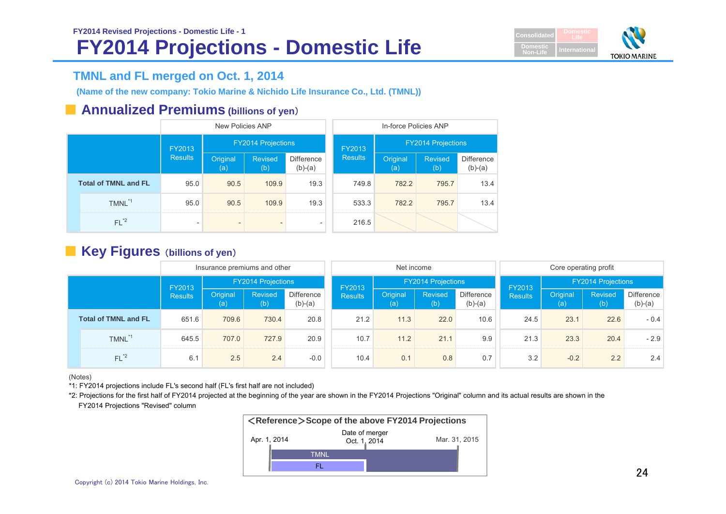

# **TMNL and FL merged on Oct. 1, 2014**

**(Name of the new company: Tokio Marine & Nichido Life Insurance Co., Ltd. (TMNL))**

## ■ **Annualized Premiums** (billions of yen)

|  |                             |                          | New Policies ANP          |                       |                                |                | In-force Policies ANP     |                       |                                |  |
|--|-----------------------------|--------------------------|---------------------------|-----------------------|--------------------------------|----------------|---------------------------|-----------------------|--------------------------------|--|
|  |                             | FY2013                   | <b>FY2014 Projections</b> |                       |                                | FY2013         | <b>FY2014 Projections</b> |                       |                                |  |
|  |                             | <b>Results</b>           | Original<br>(a)           | <b>Revised</b><br>(b) | <b>Difference</b><br>$(b)-(a)$ | <b>Results</b> | Original<br>(a)           | <b>Revised</b><br>(b) | <b>Difference</b><br>$(b)-(a)$ |  |
|  | <b>Total of TMNL and FL</b> | 95.0                     | 90.5                      | 109.9                 | 19.3                           | 749.8          | 782.2                     | 795.7                 | 13.4                           |  |
|  | TMNL <sup>*1</sup>          | 95.0                     | 90.5                      | 109.9                 | 19.3                           | 533.3          | 782.2                     | 795.7                 | 13.4                           |  |
|  | $FL^{\ast 2}$               | $\overline{\phantom{a}}$ | $\qquad \qquad$           |                       | $\qquad \qquad \blacksquare$   | 216.5          |                           |                       |                                |  |

## ■ **Key Figures** (**billions** of yen)

|  |                             |                | Insurance premiums and other |                           |                                |                | Net income                |                |                                | Core operating profit |                           |                |                         |
|--|-----------------------------|----------------|------------------------------|---------------------------|--------------------------------|----------------|---------------------------|----------------|--------------------------------|-----------------------|---------------------------|----------------|-------------------------|
|  |                             | FY2013         |                              | <b>FY2014 Projections</b> |                                | FY2013         | <b>FY2014 Projections</b> |                |                                | FY2013                | <b>FY2014 Projections</b> |                |                         |
|  |                             | <b>Results</b> | Original<br>(a)              | <b>Revised</b><br>(b)     | <b>Difference</b><br>$(b)-(a)$ | <b>Results</b> | Original<br>(a)           | Revised<br>(b) | <b>Difference</b><br>$(b)-(a)$ | <b>Results</b>        | Original<br>(a)           | Revised<br>(b) | Difference<br>$(b)-(a)$ |
|  | <b>Total of TMNL and FL</b> | 651.6          | 709.6                        | 730.4                     | 20.8                           | 21.2           | 11.3                      | 22.0           | 10.6                           | 24.5                  | 23.1                      | 22.6           | $-0.4$                  |
|  | TMNL <sup>*1</sup>          | 645.5          | 707.0                        | 727.9                     | 20.9                           | 10.7           | 11.2                      | 21.1           | 9.9                            | 21.3                  | 23.3                      | 20.4           | $-2.9$                  |
|  | $FL^{\ast 2}$               | 6.1            | 2.5                          | 2.4                       | $-0.0$                         | 10.4           | 0.1                       | 0.8            | 0.7                            | 3.2                   | $-0.2$                    | 2.2            | 2.4                     |

(Notes)

\*1: FY2014 projections include FL's second half (FL's first half are not included)

\*2: Projections for the first half of FY2014 projected at the beginning of the year are shown in the FY2014 Projections "Original" column and its actual results are shown in the FY2014 Projections "Revised" column

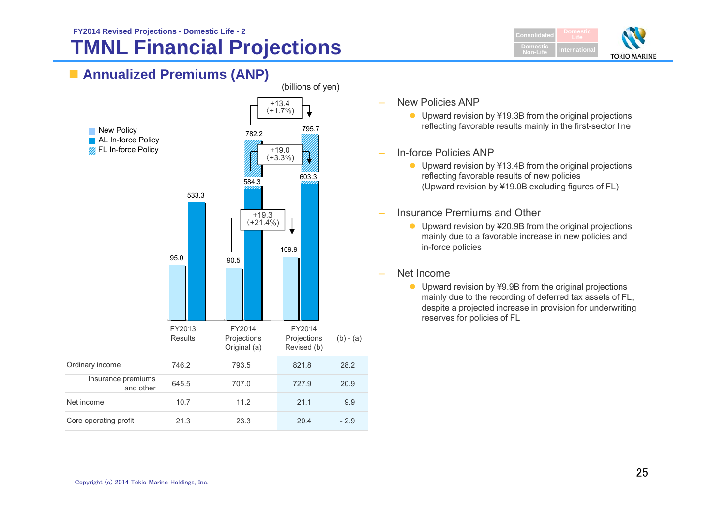# **TMNL Financial Projections FY2014 Revised Projections - Domestic Life - 2**



# **Annualized Premiums (ANP)**



- New Policies ANP
	- Upward revision by ¥19.3B from the original projections reflecting favorable results mainly in the first-sector line
- In-force Policies ANP
	- Upward revision by ¥13.4B from the original projections reflecting favorable results of new policies (Upward revision by ¥19.0B excluding figures of FL)
- Insurance Premiums and Other
	- Upward revision by ¥20.9B from the original projections mainly due to a favorable increase in new policies and in-force policies
- Net Income
	- Upward revision by ¥9.9B from the original projections mainly due to the recording of deferred tax assets of FL, despite a projected increase in provision for underwriting reserves for policies of FL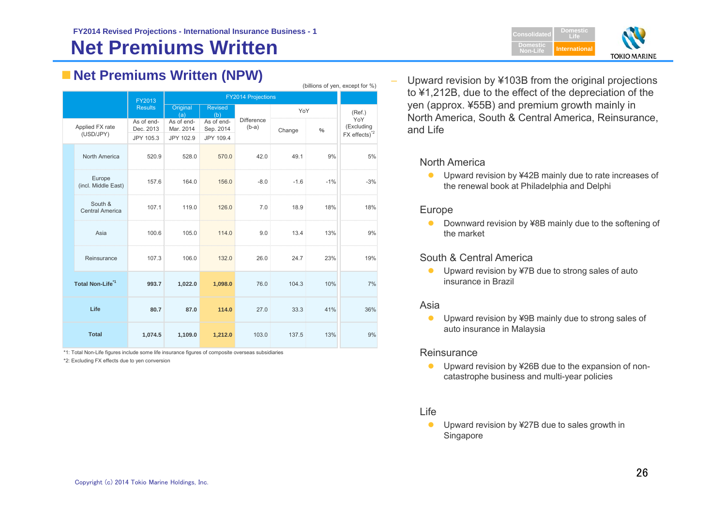# **Net Premiums Written FY2014 Revised Projections - International Insurance Business - 1 Consolidated**

| <b>Net Premiums Written (NPW)</b> |  |  |
|-----------------------------------|--|--|
|                                   |  |  |

|                                   | (billions of yen, except for %) |                         |                         |                           |        |               |                                 |  |  |
|-----------------------------------|---------------------------------|-------------------------|-------------------------|---------------------------|--------|---------------|---------------------------------|--|--|
|                                   | FY2013                          |                         |                         | <b>FY2014 Projections</b> |        |               |                                 |  |  |
|                                   | <b>Results</b>                  | Original<br>(a)         | <b>Revised</b><br>(b)   |                           | YoY    |               | (Ref.)                          |  |  |
| Applied FX rate<br>(USD/JPY)      | As of end-<br>Dec. 2013         | As of end-<br>Mar. 2014 | As of end-<br>Sep. 2014 | Difference<br>$(b-a)$     | Change | $\frac{0}{6}$ | YoY<br>(Excluding               |  |  |
|                                   | JPY 105.3                       | JPY 102.9               | JPY 109.4               |                           |        |               | $FX$ effects) $^*$ <sup>2</sup> |  |  |
| North America                     | 520.9                           | 528.0                   | 570.0                   | 42.0                      | 49.1   | 9%            | 5%                              |  |  |
| Europe<br>(incl. Middle East)     | 157.6                           | 164.0                   | 156.0                   | $-8.0$                    | $-1.6$ | $-1%$         | $-3%$                           |  |  |
| South &<br><b>Central America</b> | 107.1                           | 119.0                   | 126.0                   | 7.0                       | 18.9   | 18%           | 18%                             |  |  |
| Asia                              | 100.6                           | 105.0                   | 114.0                   | 9.0                       | 13.4   | 13%           | 9%                              |  |  |
| Reinsurance                       | 107.3                           | 106.0                   | 132.0                   | 26.0                      | 24.7   | 23%           | 19%                             |  |  |
| Total Non-Life <sup>1</sup>       | 993.7                           | 1,022.0                 | 1,098.0                 | 76.0                      | 104.3  | 10%           | 7%                              |  |  |
| Life                              | 80.7                            | 87.0                    | 114.0                   | 27.0                      | 33.3   | 41%           | 36%                             |  |  |
| <b>Total</b>                      | 1,074.5                         | 1,109.0                 | 1,212.0                 | 103.0                     | 137.5  | 13%           | 9%                              |  |  |

\*1: Total Non-Life figures include some life insurance figures of composite overseas subsidiaries

\*2: Excluding FX effects due to yen conversion



 Upward revision by ¥103B from the original projections to ¥1,212B, due to the effect of the depreciation of the yen (approx. ¥55B) and premium growth mainly in North America, South & Central America, Reinsurance, and Life

### North America

● Upward revision by ¥42B mainly due to rate increases of the renewal book at Philadelphia and Delphi

### Europe

 $\bullet$  Downward revision by ¥8B mainly due to the softening of the market

### South & Central America

● Upward revision by ¥7B due to strong sales of auto insurance in Brazil

### Asia

 $\bullet$  Upward revision by ¥9B mainly due to strong sales of auto insurance in Malaysia

### **Reinsurance**

 $\bullet$  Upward revision by ¥26B due to the expansion of noncatastrophe business and multi-year policies

### Life

 $\bullet$  Upward revision by ¥27B due to sales growth in Singapore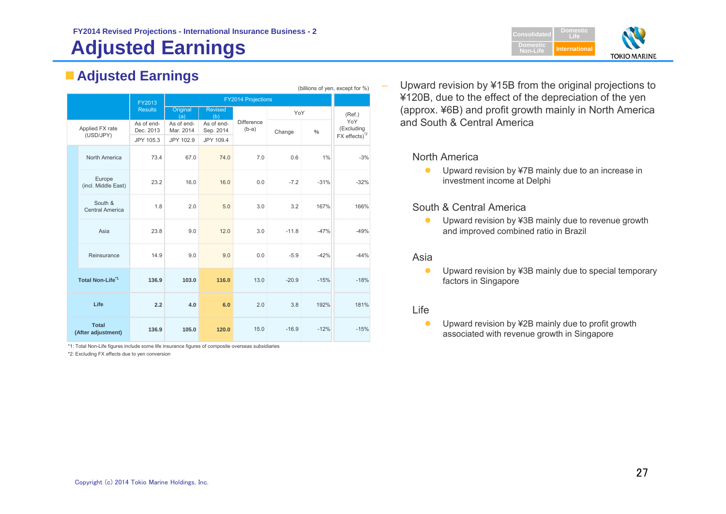### **FY2014 Revised Projections - International Insurance Business - 2 Consolidated**

# **Adjusted Earnings**

# **Adjusted Earnings**

| (billions of yen, except for %) |                                    |                         |                         |                         |                              |         |        |                           |
|---------------------------------|------------------------------------|-------------------------|-------------------------|-------------------------|------------------------------|---------|--------|---------------------------|
|                                 |                                    | FY2013                  |                         |                         | <b>FY2014 Projections</b>    |         |        |                           |
|                                 |                                    | <b>Results</b>          | Original<br>(a)         | <b>Revised</b><br>(b)   |                              | YoY     |        | (Ref.)                    |
|                                 | Applied FX rate                    | As of end-<br>Dec. 2013 | As of end-<br>Mar. 2014 | As of end-<br>Sep. 2014 | <b>Difference</b><br>$(b-a)$ | Change  | $\%$   | YoY<br>(Excluding         |
|                                 | (USD/JPY)                          | JPY 105.3               | JPY 102.9               | JPY 109.4               |                              |         |        | FX effects) <sup>*2</sup> |
|                                 | North America                      | 73.4                    | 67.0                    | 74.0                    | 7.0                          | 0.6     | 1%     | $-3%$                     |
|                                 | Europe<br>(incl. Middle East)      | 23.2                    | 16.0                    | 16.0                    | 0.0                          | $-7.2$  | $-31%$ | $-32%$                    |
|                                 | South &<br><b>Central America</b>  | 1.8                     | 2.0                     | 5.0                     | 3.0                          | 3.2     | 167%   | 166%                      |
|                                 | Asia                               | 23.8                    | 9.0                     | 12.0                    | 3.0                          | $-11.8$ | $-47%$ | $-49%$                    |
|                                 | Reinsurance                        | 14.9                    | 9.0                     | 9.0                     | 0.0                          | $-5.9$  | $-42%$ | $-44%$                    |
|                                 | Total Non-Life <sup>"1</sup>       | 136.9                   | 103.0                   | 116.0                   | 13.0                         | $-20.9$ | $-15%$ | $-18%$                    |
|                                 | Life                               | 2.2                     | 4.0                     | 6.0                     | 2.0                          | 3.8     | 192%   | 181%                      |
|                                 | <b>Total</b><br>(After adjustment) | 136.9                   | 105.0                   | 120.0                   | 15.0                         | $-16.9$ | $-12%$ | $-15%$                    |

\*1: Total Non-Life figures include some life insurance figures of composite overseas subsidiaries

\*2: Excluding FX effects due to yen conversion



 Upward revision by ¥15B from the original projections to ¥120B, due to the effect of the depreciation of the yen (approx. ¥6B) and profit growth mainly in North America and South & Central America

### North America

 $\bullet$  Upward revision by ¥7B mainly due to an increase in investment income at Delphi

### South & Central America

 $\bullet$  Upward revision by ¥3B mainly due to revenue growth and improved combined ratio in Brazil

### Asia

‒

 $\bullet$  Upward revision by ¥3B mainly due to special temporary factors in Singapore

### Life

 $\bullet$  Upward revision by ¥2B mainly due to profit growth associated with revenue growth in Singapore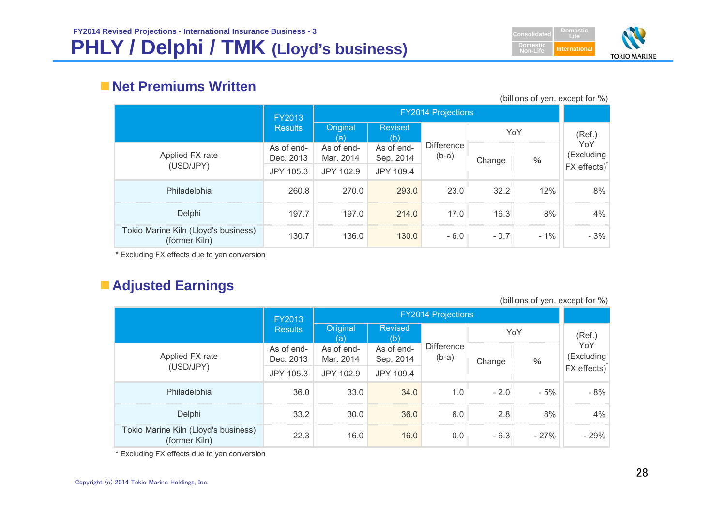

# **Net Premiums Written**

(billions of yen, except for %)

|                                                       | FY2013                  |                         |                         |                              |        |        |                   |
|-------------------------------------------------------|-------------------------|-------------------------|-------------------------|------------------------------|--------|--------|-------------------|
|                                                       | <b>Results</b>          | Original<br>(a)         | Revised<br>(b)          |                              | YoY    |        | (Ref.)            |
| Applied FX rate                                       | As of end-<br>Dec. 2013 | As of end-<br>Mar. 2014 | As of end-<br>Sep. 2014 | <b>Difference</b><br>$(b-a)$ | Change | $\%$   | YoY<br>(Excluding |
| (USD/JPY)                                             | JPY 105.3               | JPY 102.9               | JPY 109.4               |                              |        |        | FX effects)       |
| Philadelphia                                          | 260.8                   | 270.0                   | 293.0                   | 23.0                         | 32.2   | 12%    | 8%                |
| Delphi                                                | 197.7                   | 197.0                   | 214.0                   | 17.0                         | 16.3   | 8%     | 4%                |
| Tokio Marine Kiln (Lloyd's business)<br>(former Kiln) | 130.7                   | 136.0                   | 130.0                   | $-6.0$                       | $-0.7$ | $-1\%$ | $-3%$             |

\* Excluding FX effects due to yen conversion

# **Adjusted Earnings**

(billions of yen, except for %)

|                                                       | FY2013                  |                         |                         |                              |             |        |                   |
|-------------------------------------------------------|-------------------------|-------------------------|-------------------------|------------------------------|-------------|--------|-------------------|
|                                                       | <b>Results</b>          | Original<br>(a)         | <b>Revised</b><br>(b)   |                              | YoY         |        | (Ref.)            |
| Applied FX rate                                       | As of end-<br>Dec. 2013 | As of end-<br>Mar. 2014 | As of end-<br>Sep. 2014 | <b>Difference</b><br>$(b-a)$ | Change<br>% |        | YoY<br>(Excluding |
| (USD/JPY)                                             | JPY 105.3               | JPY 102.9               | JPY 109.4               |                              |             |        | FX effects)       |
| Philadelphia                                          | 36.0                    | 33.0                    | 34.0                    | 1.0                          | $-2.0$      | $-5%$  | $-8%$             |
| Delphi                                                | 33.2                    | 30.0                    | 36.0                    | 6.0                          | 2.8         | 8%     | 4%                |
| Tokio Marine Kiln (Lloyd's business)<br>(former Kiln) | 22.3                    | 16.0                    | 16.0                    | 0.0                          | $-6.3$      | $-27%$ | $-29%$            |

\* Excluding FX effects due to yen conversion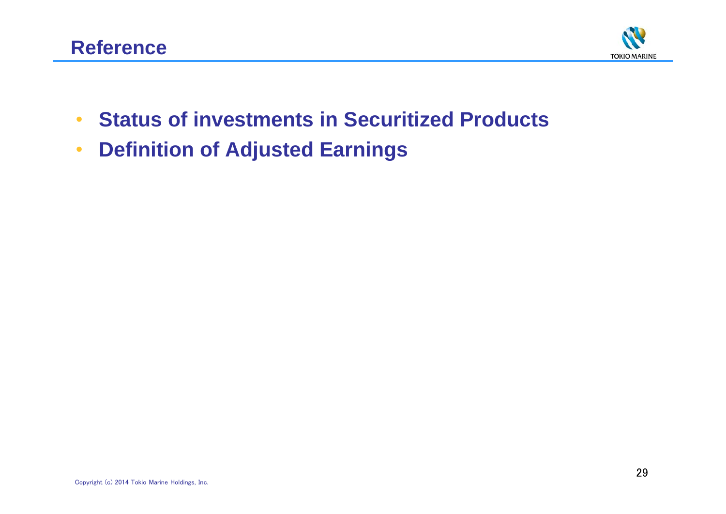

- •**Status of investments in Securitized Products**
- •**Definition of Adjusted Earnings**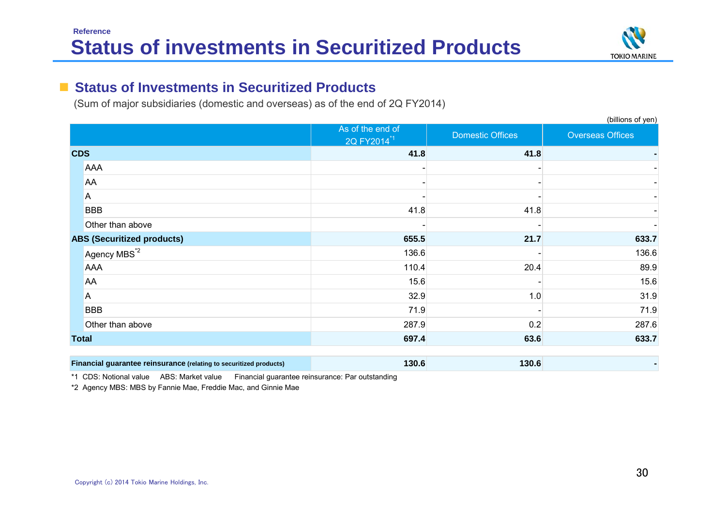

#### $\blacksquare$ **Status of Investments in Securitized Products**

(Sum of major subsidiaries (domestic and overseas) as of the end of 2Q FY2014)

|                                                                    |                                             |                         | (billions of yen)       |
|--------------------------------------------------------------------|---------------------------------------------|-------------------------|-------------------------|
|                                                                    | As of the end of<br>2Q FY2014 <sup>*1</sup> | <b>Domestic Offices</b> | <b>Overseas Offices</b> |
| <b>CDS</b>                                                         | 41.8                                        | 41.8                    |                         |
| <b>AAA</b>                                                         |                                             |                         |                         |
| AA                                                                 |                                             |                         |                         |
| Α                                                                  |                                             |                         |                         |
| <b>BBB</b>                                                         | 41.8                                        | 41.8                    |                         |
| Other than above                                                   |                                             |                         |                         |
| <b>ABS (Securitized products)</b>                                  | 655.5                                       | 21.7                    | 633.7                   |
| Agency MBS <sup>*2</sup>                                           | 136.6                                       |                         | 136.6                   |
| <b>AAA</b>                                                         | 110.4                                       | 20.4                    | 89.9                    |
| AA                                                                 | 15.6                                        |                         | 15.6                    |
| Α                                                                  | 32.9                                        | 1.0                     | 31.9                    |
| <b>BBB</b>                                                         | 71.9                                        |                         | 71.9                    |
| Other than above                                                   | 287.9                                       | 0.2                     | 287.6                   |
| <b>Total</b>                                                       | 697.4                                       | 63.6                    | 633.7                   |
| Financial guarantee reinsurance (relating to securitized products) | 130.6                                       | 130.6                   |                         |

\*1 CDS: Notional value ABS: Market value Financial guarantee reinsurance: Par outstanding

\*2 Agency MBS: MBS by Fannie Mae, Freddie Mac, and Ginnie Mae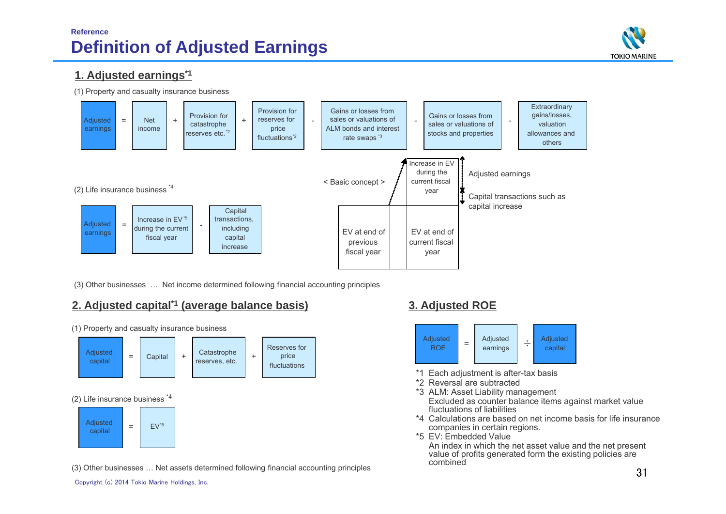# **Reference Definition of Adjusted Earnings**



## **1. Adjusted earnings\*1**

(1) Property and casualty insurance business



(3) Other businesses … Net income determined following financial accounting principles

## **2. Adjusted capital\*1 (average balance basis) 3. Adjusted ROE**

+**Catastrophe** reserves, etc. (2) Life insurance business \*4 (1) Property and casualty insurance business Reserves for price fluctuations Adjusted capital = $\text{Capital}$  +  $\text{Catal}$  + Adjusted capital = $FV^*5$ 

(3) Other businesses … Net assets determined following financial accounting principles



- \*1 Each adjustment is after-tax basis
- \*2 Reversal are subtracted
- \*3 ALM: Asset Liability management Excluded as counter balance items against market value fluctuations of liabilities
- \*4 Calculations are based on net income basis for life insurance companies in certain regions.
- \*5 EV: Embedded Value

An index in which the net asset value and the net present value of profits generated form the existing policies are combined